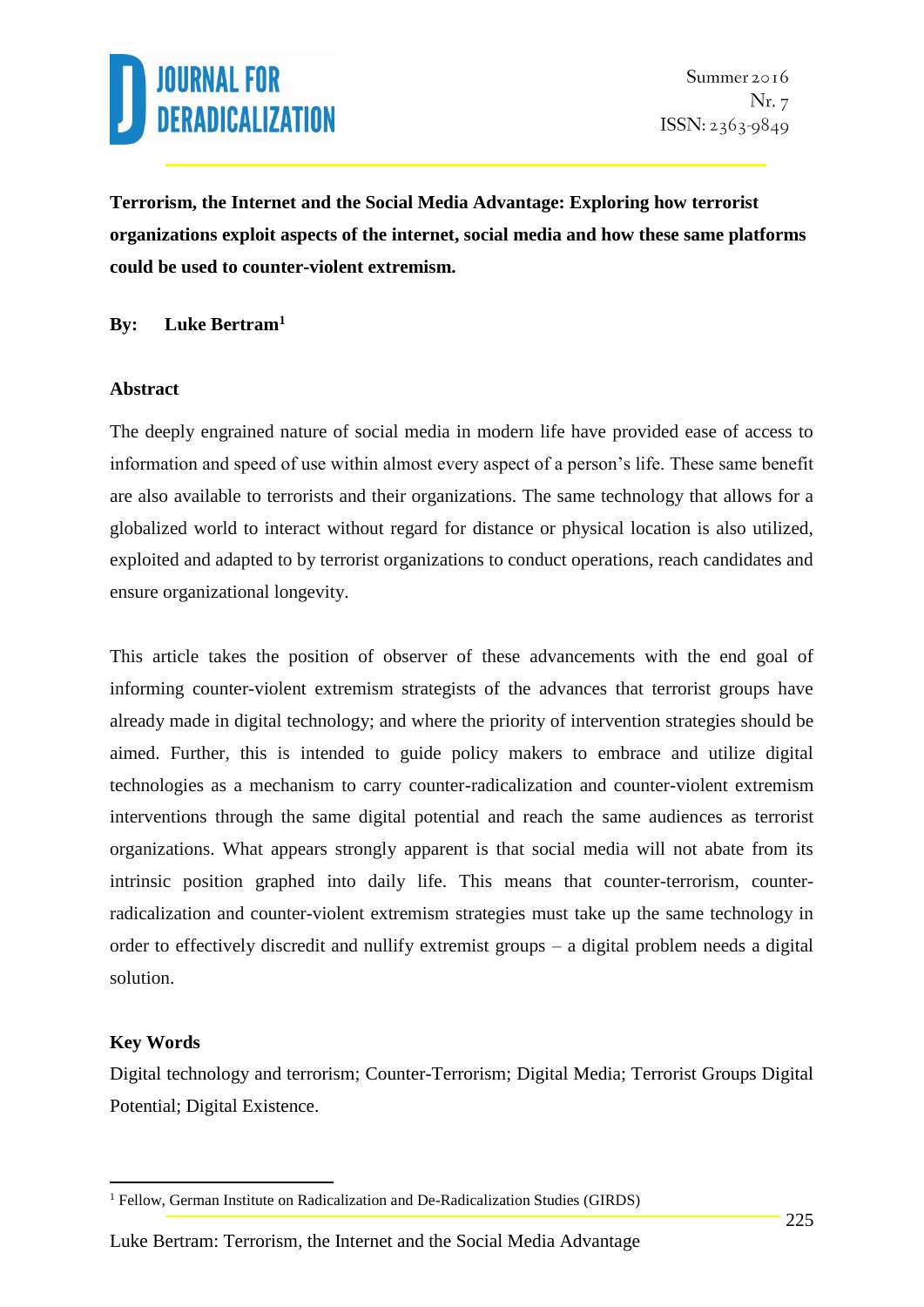

**Terrorism, the Internet and the Social Media Advantage: Exploring how terrorist organizations exploit aspects of the internet, social media and how these same platforms could be used to counter-violent extremism.**

### **By: Luke Bertram<sup>1</sup>**

#### **Abstract**

The deeply engrained nature of social media in modern life have provided ease of access to information and speed of use within almost every aspect of a person's life. These same benefit are also available to terrorists and their organizations. The same technology that allows for a globalized world to interact without regard for distance or physical location is also utilized, exploited and adapted to by terrorist organizations to conduct operations, reach candidates and ensure organizational longevity.

This article takes the position of observer of these advancements with the end goal of informing counter-violent extremism strategists of the advances that terrorist groups have already made in digital technology; and where the priority of intervention strategies should be aimed. Further, this is intended to guide policy makers to embrace and utilize digital technologies as a mechanism to carry counter-radicalization and counter-violent extremism interventions through the same digital potential and reach the same audiences as terrorist organizations. What appears strongly apparent is that social media will not abate from its intrinsic position graphed into daily life. This means that counter-terrorism, counterradicalization and counter-violent extremism strategies must take up the same technology in order to effectively discredit and nullify extremist groups – a digital problem needs a digital solution.

### **Key Words**

1

Digital technology and terrorism; Counter-Terrorism; Digital Media; Terrorist Groups Digital Potential; Digital Existence.

<sup>&</sup>lt;sup>1</sup> Fellow, German Institute on Radicalization and De-Radicalization Studies (GIRDS)

Luke Bertram: Terrorism, the Internet and the Social Media Advantage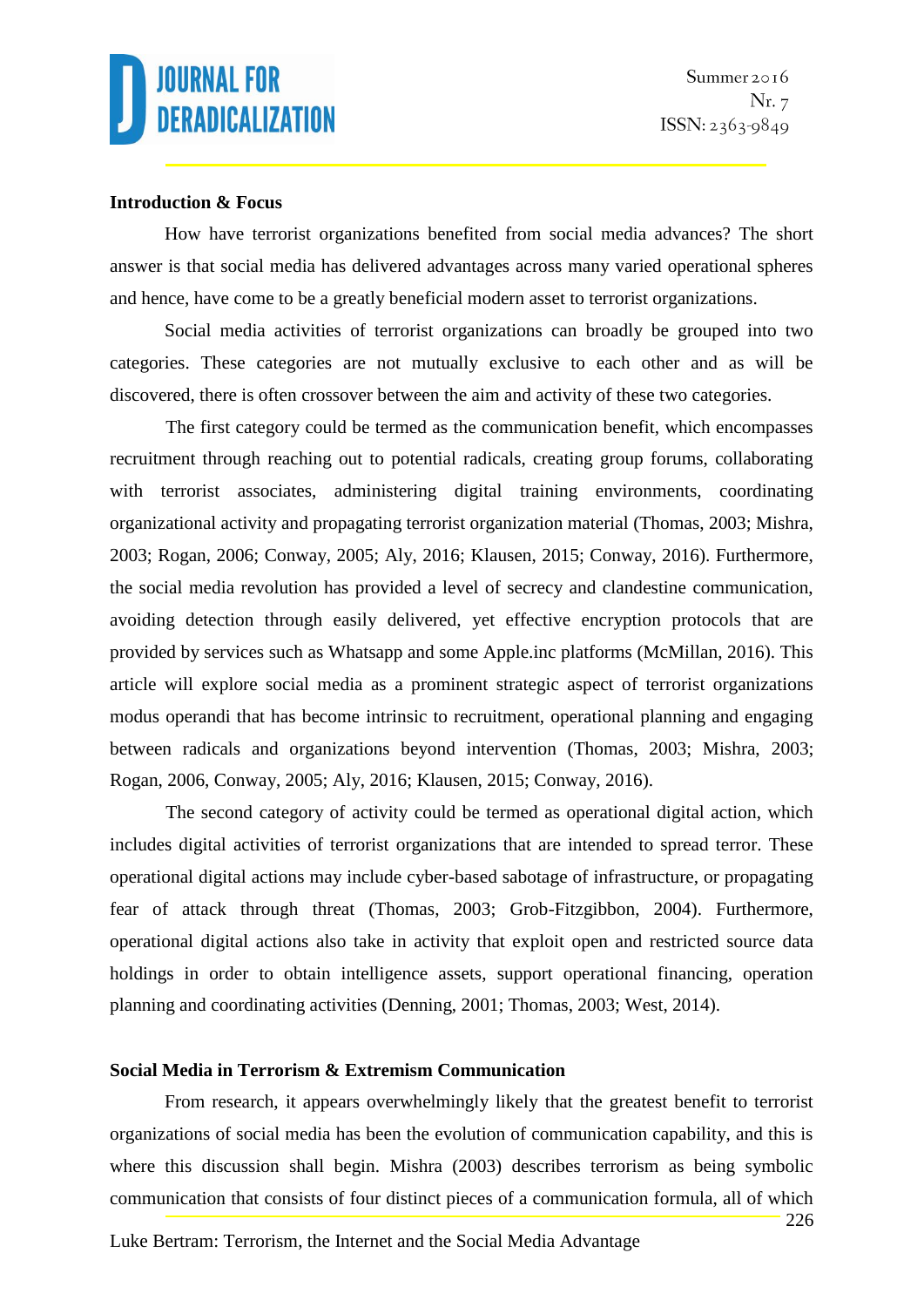#### **Introduction & Focus**

How have terrorist organizations benefited from social media advances? The short answer is that social media has delivered advantages across many varied operational spheres and hence, have come to be a greatly beneficial modern asset to terrorist organizations.

Social media activities of terrorist organizations can broadly be grouped into two categories. These categories are not mutually exclusive to each other and as will be discovered, there is often crossover between the aim and activity of these two categories.

The first category could be termed as the communication benefit, which encompasses recruitment through reaching out to potential radicals, creating group forums, collaborating with terrorist associates, administering digital training environments, coordinating organizational activity and propagating terrorist organization material (Thomas, 2003; Mishra, 2003; Rogan, 2006; Conway, 2005; Aly, 2016; Klausen, 2015; Conway, 2016). Furthermore, the social media revolution has provided a level of secrecy and clandestine communication, avoiding detection through easily delivered, yet effective encryption protocols that are provided by services such as Whatsapp and some Apple.inc platforms (McMillan, 2016). This article will explore social media as a prominent strategic aspect of terrorist organizations modus operandi that has become intrinsic to recruitment, operational planning and engaging between radicals and organizations beyond intervention (Thomas, 2003; Mishra, 2003; Rogan, 2006, Conway, 2005; Aly, 2016; Klausen, 2015; Conway, 2016).

The second category of activity could be termed as operational digital action, which includes digital activities of terrorist organizations that are intended to spread terror. These operational digital actions may include cyber-based sabotage of infrastructure, or propagating fear of attack through threat (Thomas, 2003; Grob-Fitzgibbon, 2004). Furthermore, operational digital actions also take in activity that exploit open and restricted source data holdings in order to obtain intelligence assets, support operational financing, operation planning and coordinating activities (Denning, 2001; Thomas, 2003; West, 2014).

### **Social Media in Terrorism & Extremism Communication**

From research, it appears overwhelmingly likely that the greatest benefit to terrorist organizations of social media has been the evolution of communication capability, and this is where this discussion shall begin. Mishra (2003) describes terrorism as being symbolic communication that consists of four distinct pieces of a communication formula, all of which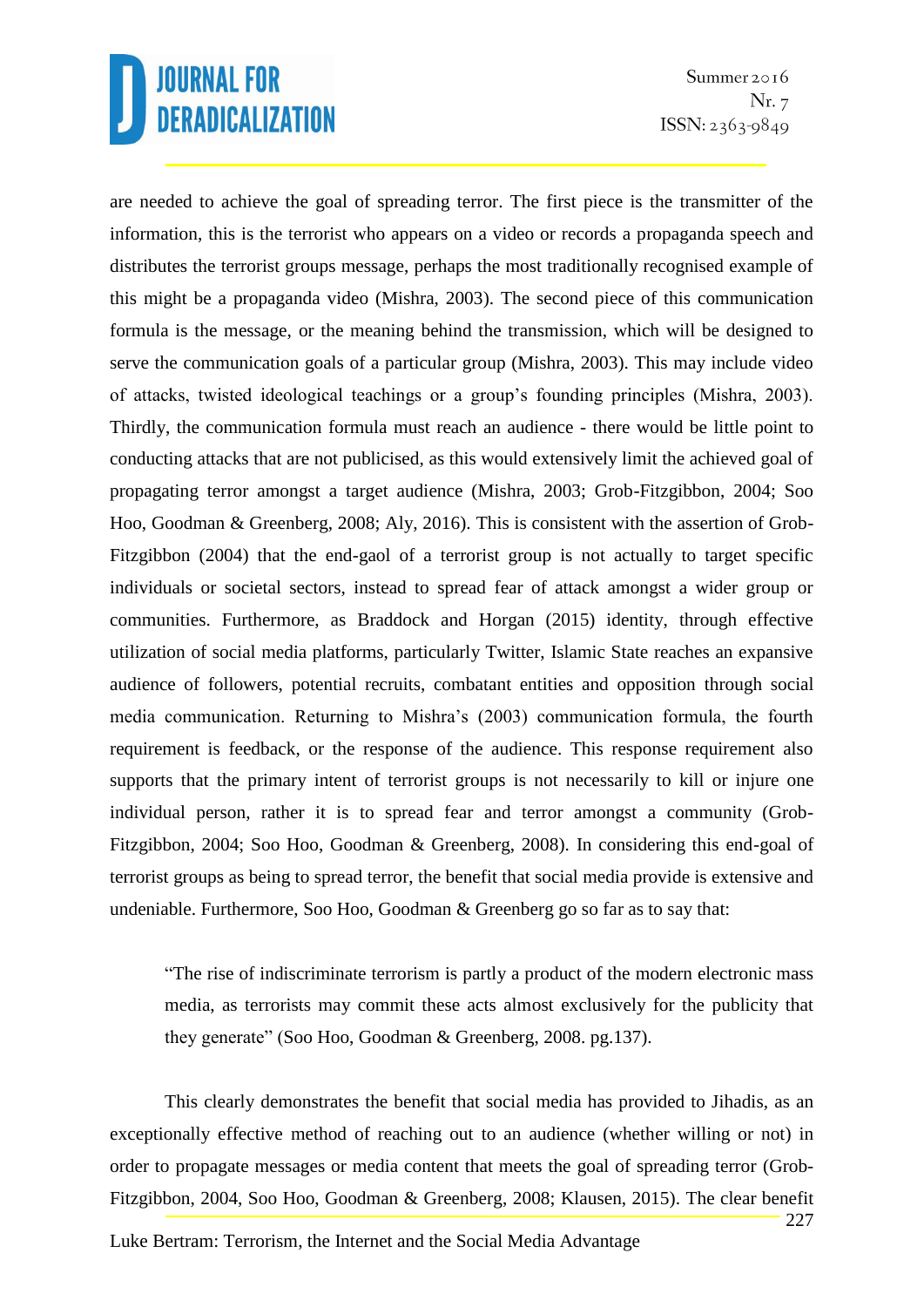Summer 2016 Nr. 7  $ISSN: 2363-9849$ 

are needed to achieve the goal of spreading terror. The first piece is the transmitter of the information, this is the terrorist who appears on a video or records a propaganda speech and distributes the terrorist groups message, perhaps the most traditionally recognised example of this might be a propaganda video (Mishra, 2003). The second piece of this communication formula is the message, or the meaning behind the transmission, which will be designed to serve the communication goals of a particular group (Mishra, 2003). This may include video of attacks, twisted ideological teachings or a group's founding principles (Mishra, 2003). Thirdly, the communication formula must reach an audience - there would be little point to conducting attacks that are not publicised, as this would extensively limit the achieved goal of propagating terror amongst a target audience (Mishra, 2003; Grob-Fitzgibbon, 2004; Soo Hoo, Goodman & Greenberg, 2008; Aly, 2016). This is consistent with the assertion of Grob-Fitzgibbon (2004) that the end-gaol of a terrorist group is not actually to target specific individuals or societal sectors, instead to spread fear of attack amongst a wider group or communities. Furthermore, as Braddock and Horgan (2015) identity, through effective utilization of social media platforms, particularly Twitter, Islamic State reaches an expansive audience of followers, potential recruits, combatant entities and opposition through social media communication. Returning to Mishra's (2003) communication formula, the fourth requirement is feedback, or the response of the audience. This response requirement also supports that the primary intent of terrorist groups is not necessarily to kill or injure one individual person, rather it is to spread fear and terror amongst a community (Grob-Fitzgibbon, 2004; Soo Hoo, Goodman & Greenberg, 2008). In considering this end-goal of terrorist groups as being to spread terror, the benefit that social media provide is extensive and undeniable. Furthermore, Soo Hoo, Goodman & Greenberg go so far as to say that:

"The rise of indiscriminate terrorism is partly a product of the modern electronic mass media, as terrorists may commit these acts almost exclusively for the publicity that they generate" (Soo Hoo, Goodman & Greenberg, 2008. pg.137).

This clearly demonstrates the benefit that social media has provided to Jihadis, as an exceptionally effective method of reaching out to an audience (whether willing or not) in order to propagate messages or media content that meets the goal of spreading terror (Grob-Fitzgibbon, 2004, Soo Hoo, Goodman & Greenberg, 2008; Klausen, 2015). The clear benefit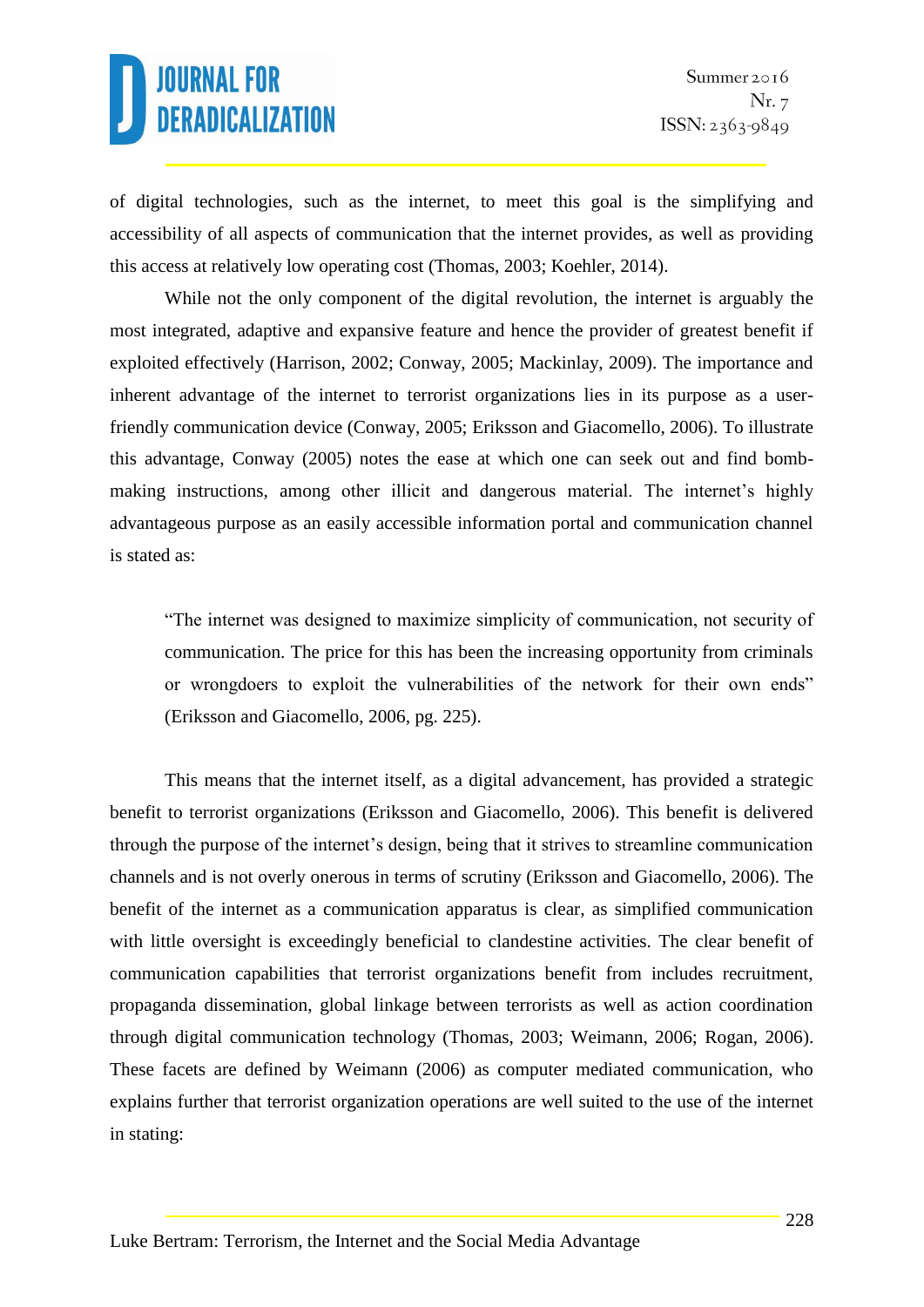of digital technologies, such as the internet, to meet this goal is the simplifying and accessibility of all aspects of communication that the internet provides, as well as providing this access at relatively low operating cost (Thomas, 2003; Koehler, 2014).

While not the only component of the digital revolution, the internet is arguably the most integrated, adaptive and expansive feature and hence the provider of greatest benefit if exploited effectively (Harrison, 2002; Conway, 2005; Mackinlay, 2009). The importance and inherent advantage of the internet to terrorist organizations lies in its purpose as a userfriendly communication device (Conway, 2005; Eriksson and Giacomello, 2006). To illustrate this advantage, Conway (2005) notes the ease at which one can seek out and find bombmaking instructions, among other illicit and dangerous material. The internet's highly advantageous purpose as an easily accessible information portal and communication channel is stated as:

"The internet was designed to maximize simplicity of communication, not security of communication. The price for this has been the increasing opportunity from criminals or wrongdoers to exploit the vulnerabilities of the network for their own ends" (Eriksson and Giacomello, 2006, pg. 225).

This means that the internet itself, as a digital advancement, has provided a strategic benefit to terrorist organizations (Eriksson and Giacomello, 2006). This benefit is delivered through the purpose of the internet's design, being that it strives to streamline communication channels and is not overly onerous in terms of scrutiny (Eriksson and Giacomello, 2006). The benefit of the internet as a communication apparatus is clear, as simplified communication with little oversight is exceedingly beneficial to clandestine activities. The clear benefit of communication capabilities that terrorist organizations benefit from includes recruitment, propaganda dissemination, global linkage between terrorists as well as action coordination through digital communication technology (Thomas, 2003; Weimann, 2006; Rogan, 2006). These facets are defined by Weimann (2006) as computer mediated communication, who explains further that terrorist organization operations are well suited to the use of the internet in stating: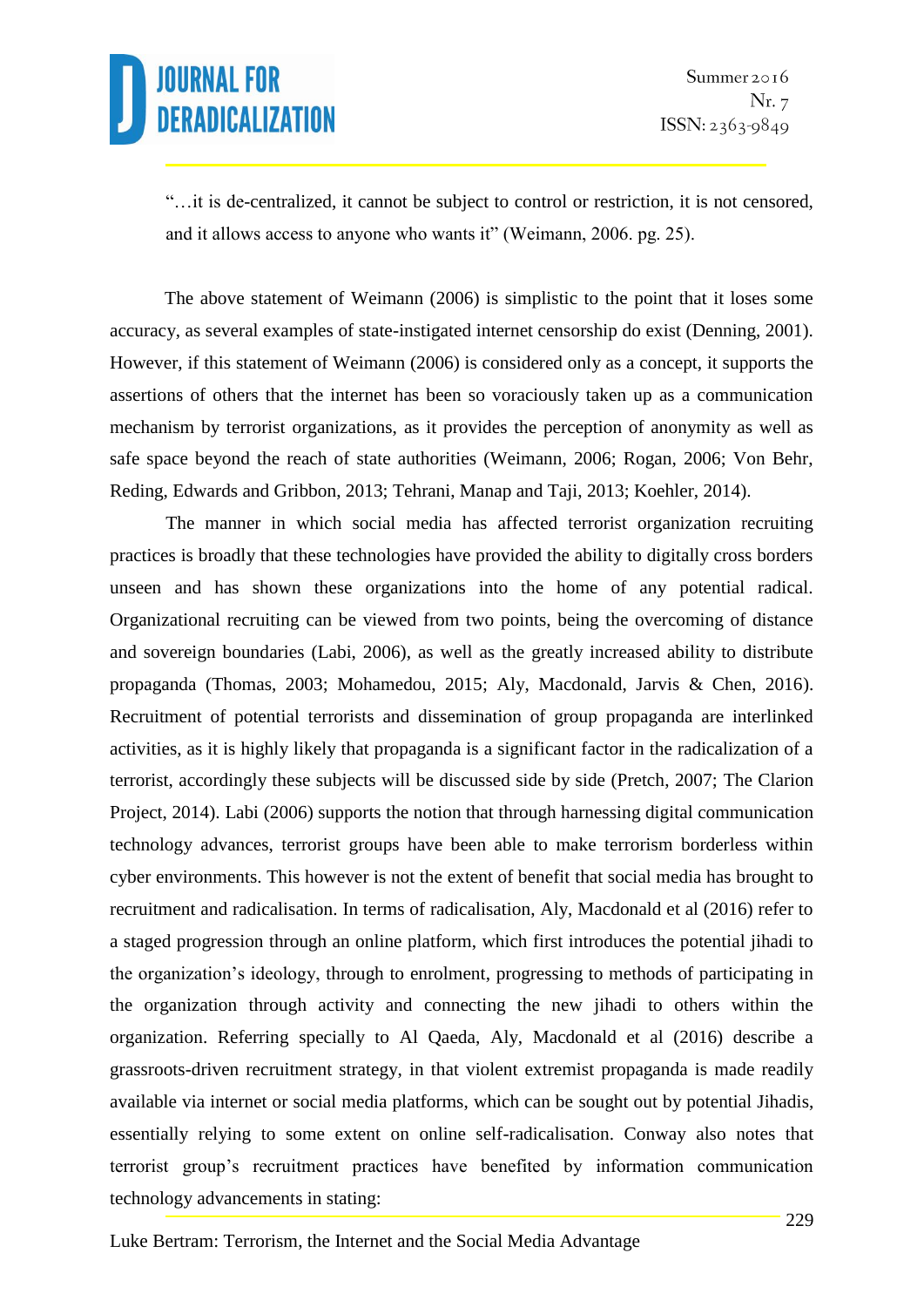"…it is de-centralized, it cannot be subject to control or restriction, it is not censored, and it allows access to anyone who wants it" (Weimann, 2006. pg. 25).

The above statement of Weimann (2006) is simplistic to the point that it loses some accuracy, as several examples of state-instigated internet censorship do exist (Denning, 2001). However, if this statement of Weimann (2006) is considered only as a concept, it supports the assertions of others that the internet has been so voraciously taken up as a communication mechanism by terrorist organizations, as it provides the perception of anonymity as well as safe space beyond the reach of state authorities (Weimann, 2006; Rogan, 2006; Von Behr, Reding, Edwards and Gribbon, 2013; Tehrani, Manap and Taji, 2013; Koehler, 2014).

The manner in which social media has affected terrorist organization recruiting practices is broadly that these technologies have provided the ability to digitally cross borders unseen and has shown these organizations into the home of any potential radical. Organizational recruiting can be viewed from two points, being the overcoming of distance and sovereign boundaries (Labi, 2006), as well as the greatly increased ability to distribute propaganda (Thomas, 2003; Mohamedou, 2015; Aly, Macdonald, Jarvis & Chen, 2016). Recruitment of potential terrorists and dissemination of group propaganda are interlinked activities, as it is highly likely that propaganda is a significant factor in the radicalization of a terrorist, accordingly these subjects will be discussed side by side (Pretch, 2007; The Clarion Project, 2014). Labi (2006) supports the notion that through harnessing digital communication technology advances, terrorist groups have been able to make terrorism borderless within cyber environments. This however is not the extent of benefit that social media has brought to recruitment and radicalisation. In terms of radicalisation, Aly, Macdonald et al (2016) refer to a staged progression through an online platform, which first introduces the potential jihadi to the organization's ideology, through to enrolment, progressing to methods of participating in the organization through activity and connecting the new jihadi to others within the organization. Referring specially to Al Qaeda, Aly, Macdonald et al (2016) describe a grassroots-driven recruitment strategy, in that violent extremist propaganda is made readily available via internet or social media platforms, which can be sought out by potential Jihadis, essentially relying to some extent on online self-radicalisation. Conway also notes that terrorist group's recruitment practices have benefited by information communication technology advancements in stating: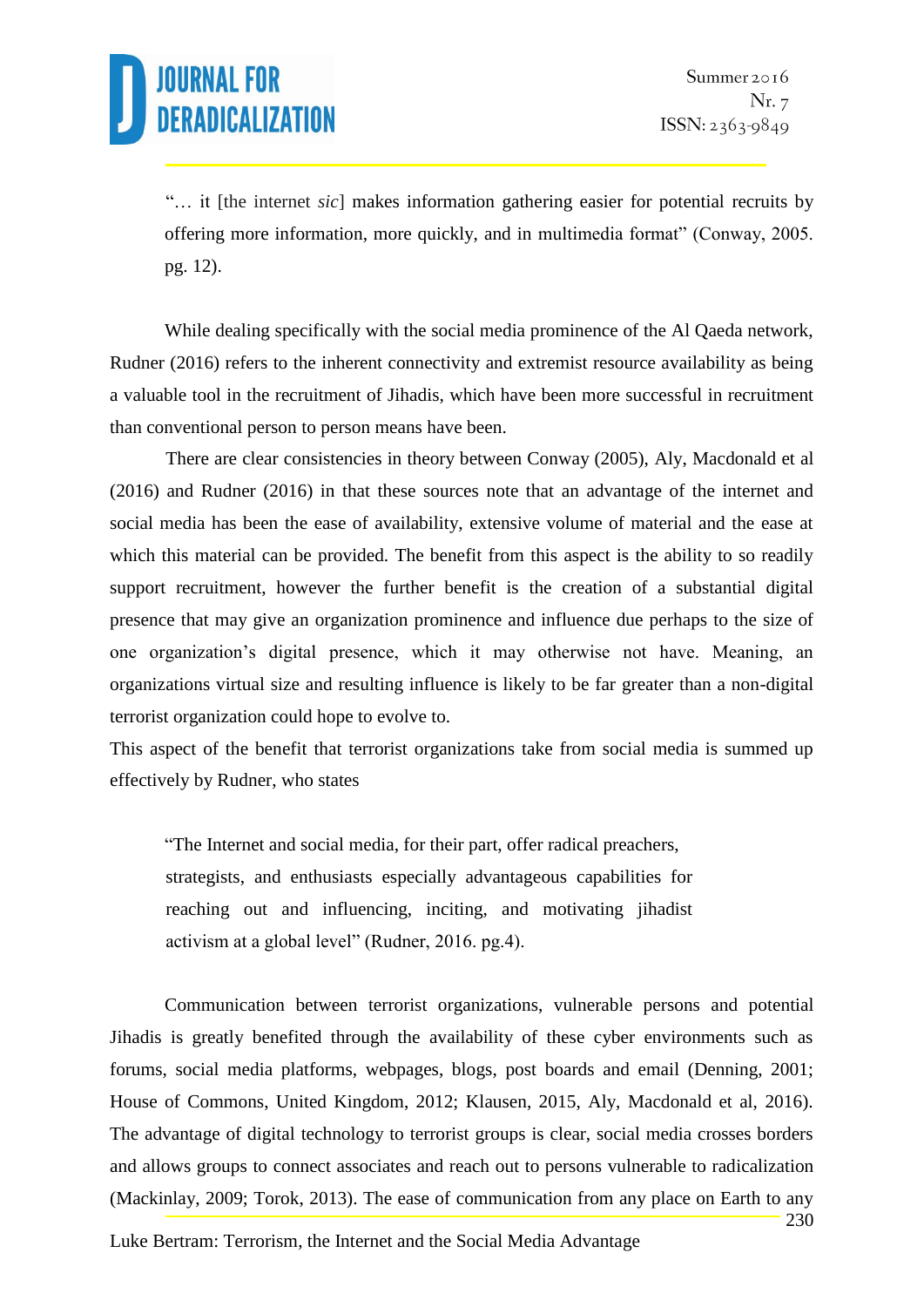"… it [the internet *sic*] makes information gathering easier for potential recruits by offering more information, more quickly, and in multimedia format" (Conway, 2005. pg. 12).

While dealing specifically with the social media prominence of the Al Qaeda network, Rudner (2016) refers to the inherent connectivity and extremist resource availability as being a valuable tool in the recruitment of Jihadis, which have been more successful in recruitment than conventional person to person means have been.

There are clear consistencies in theory between Conway (2005), Aly, Macdonald et al (2016) and Rudner (2016) in that these sources note that an advantage of the internet and social media has been the ease of availability, extensive volume of material and the ease at which this material can be provided. The benefit from this aspect is the ability to so readily support recruitment, however the further benefit is the creation of a substantial digital presence that may give an organization prominence and influence due perhaps to the size of one organization's digital presence, which it may otherwise not have. Meaning, an organizations virtual size and resulting influence is likely to be far greater than a non-digital terrorist organization could hope to evolve to.

This aspect of the benefit that terrorist organizations take from social media is summed up effectively by Rudner, who states

"The Internet and social media, for their part, offer radical preachers, strategists, and enthusiasts especially advantageous capabilities for reaching out and influencing, inciting, and motivating jihadist activism at a global level" (Rudner, 2016. pg.4).

Communication between terrorist organizations, vulnerable persons and potential Jihadis is greatly benefited through the availability of these cyber environments such as forums, social media platforms, webpages, blogs, post boards and email (Denning, 2001; House of Commons, United Kingdom, 2012; Klausen, 2015, Aly, Macdonald et al, 2016). The advantage of digital technology to terrorist groups is clear, social media crosses borders and allows groups to connect associates and reach out to persons vulnerable to radicalization (Mackinlay, 2009; Torok, 2013). The ease of communication from any place on Earth to any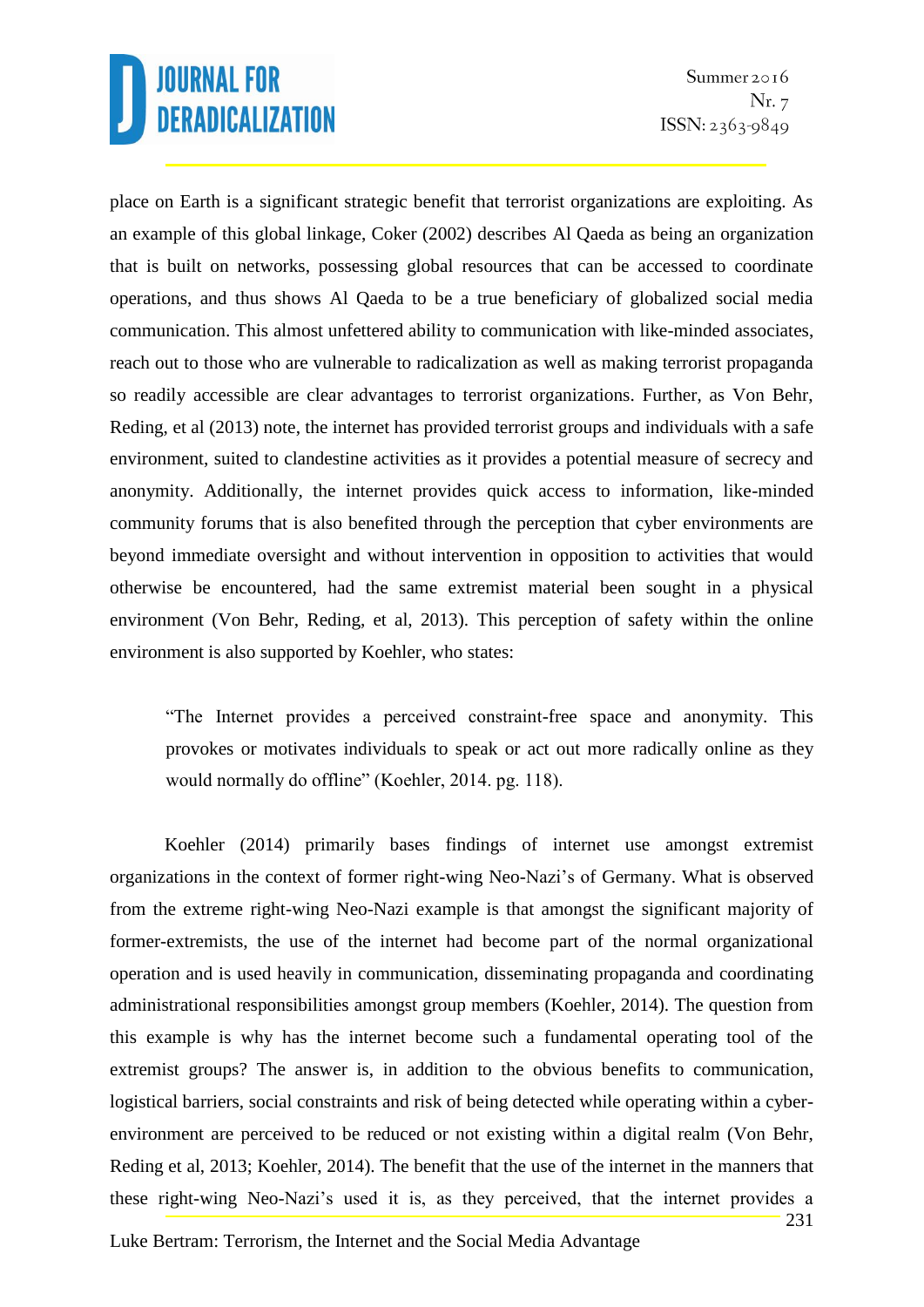place on Earth is a significant strategic benefit that terrorist organizations are exploiting. As an example of this global linkage, Coker (2002) describes Al Qaeda as being an organization that is built on networks, possessing global resources that can be accessed to coordinate operations, and thus shows Al Qaeda to be a true beneficiary of globalized social media communication. This almost unfettered ability to communication with like-minded associates, reach out to those who are vulnerable to radicalization as well as making terrorist propaganda so readily accessible are clear advantages to terrorist organizations. Further, as Von Behr, Reding, et al (2013) note, the internet has provided terrorist groups and individuals with a safe environment, suited to clandestine activities as it provides a potential measure of secrecy and anonymity. Additionally, the internet provides quick access to information, like-minded community forums that is also benefited through the perception that cyber environments are beyond immediate oversight and without intervention in opposition to activities that would otherwise be encountered, had the same extremist material been sought in a physical environment (Von Behr, Reding, et al, 2013). This perception of safety within the online environment is also supported by Koehler, who states:

"The Internet provides a perceived constraint-free space and anonymity. This provokes or motivates individuals to speak or act out more radically online as they would normally do offline" (Koehler, 2014. pg. 118).

Koehler (2014) primarily bases findings of internet use amongst extremist organizations in the context of former right-wing Neo-Nazi's of Germany. What is observed from the extreme right-wing Neo-Nazi example is that amongst the significant majority of former-extremists, the use of the internet had become part of the normal organizational operation and is used heavily in communication, disseminating propaganda and coordinating administrational responsibilities amongst group members (Koehler, 2014). The question from this example is why has the internet become such a fundamental operating tool of the extremist groups? The answer is, in addition to the obvious benefits to communication, logistical barriers, social constraints and risk of being detected while operating within a cyberenvironment are perceived to be reduced or not existing within a digital realm (Von Behr, Reding et al, 2013; Koehler, 2014). The benefit that the use of the internet in the manners that these right-wing Neo-Nazi's used it is, as they perceived, that the internet provides a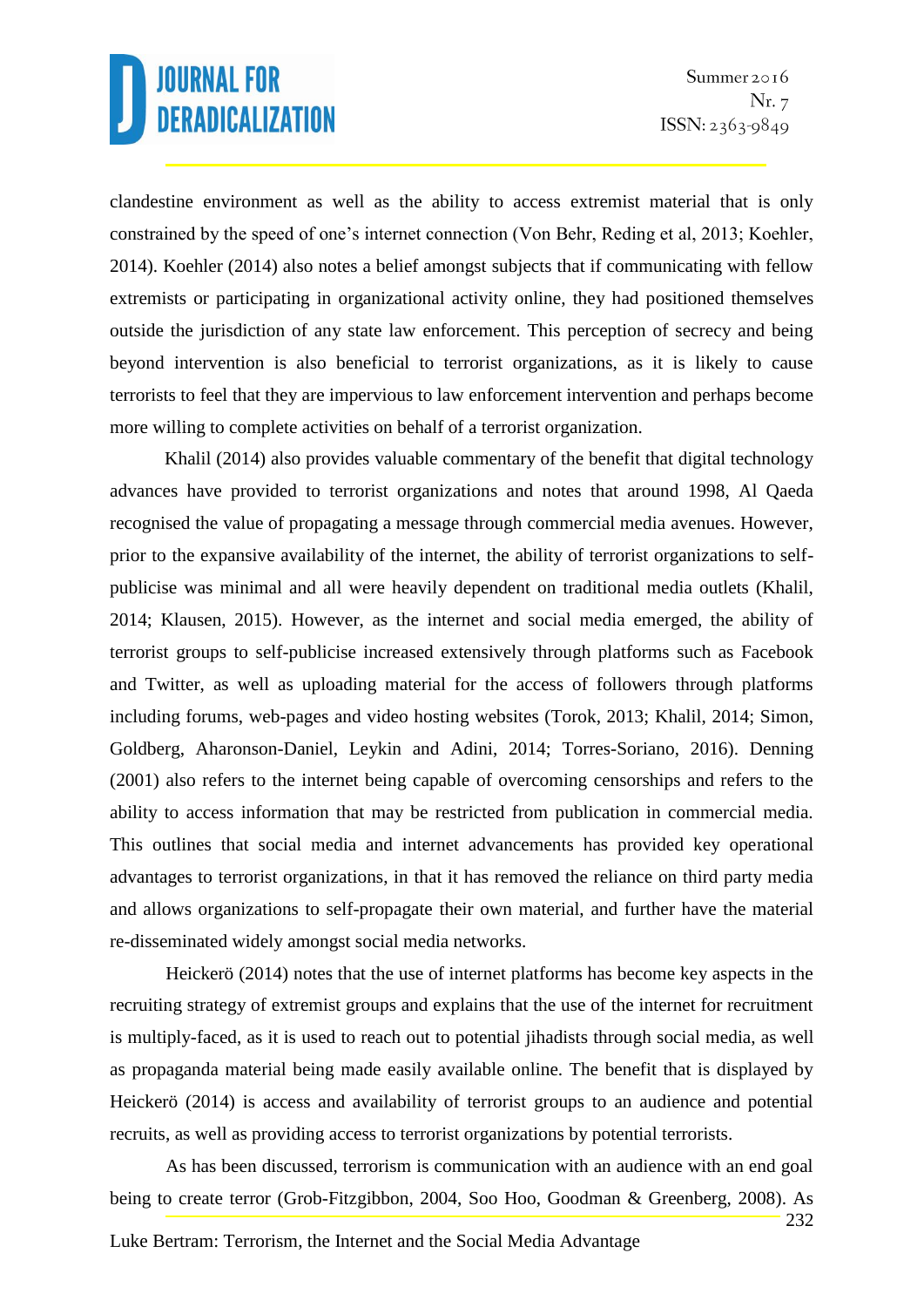clandestine environment as well as the ability to access extremist material that is only constrained by the speed of one's internet connection (Von Behr, Reding et al, 2013; Koehler, 2014). Koehler (2014) also notes a belief amongst subjects that if communicating with fellow extremists or participating in organizational activity online, they had positioned themselves outside the jurisdiction of any state law enforcement. This perception of secrecy and being beyond intervention is also beneficial to terrorist organizations, as it is likely to cause terrorists to feel that they are impervious to law enforcement intervention and perhaps become more willing to complete activities on behalf of a terrorist organization.

Khalil (2014) also provides valuable commentary of the benefit that digital technology advances have provided to terrorist organizations and notes that around 1998, Al Qaeda recognised the value of propagating a message through commercial media avenues. However, prior to the expansive availability of the internet, the ability of terrorist organizations to selfpublicise was minimal and all were heavily dependent on traditional media outlets (Khalil, 2014; Klausen, 2015). However, as the internet and social media emerged, the ability of terrorist groups to self-publicise increased extensively through platforms such as Facebook and Twitter, as well as uploading material for the access of followers through platforms including forums, web-pages and video hosting websites (Torok, 2013; Khalil, 2014; Simon, Goldberg, Aharonson-Daniel, Leykin and Adini, 2014; Torres-Soriano, 2016). Denning (2001) also refers to the internet being capable of overcoming censorships and refers to the ability to access information that may be restricted from publication in commercial media. This outlines that social media and internet advancements has provided key operational advantages to terrorist organizations, in that it has removed the reliance on third party media and allows organizations to self-propagate their own material, and further have the material re-disseminated widely amongst social media networks.

Heickerö (2014) notes that the use of internet platforms has become key aspects in the recruiting strategy of extremist groups and explains that the use of the internet for recruitment is multiply-faced, as it is used to reach out to potential jihadists through social media, as well as propaganda material being made easily available online. The benefit that is displayed by Heickerö (2014) is access and availability of terrorist groups to an audience and potential recruits, as well as providing access to terrorist organizations by potential terrorists.

232 As has been discussed, terrorism is communication with an audience with an end goal being to create terror (Grob-Fitzgibbon, 2004, Soo Hoo, Goodman & Greenberg, 2008). As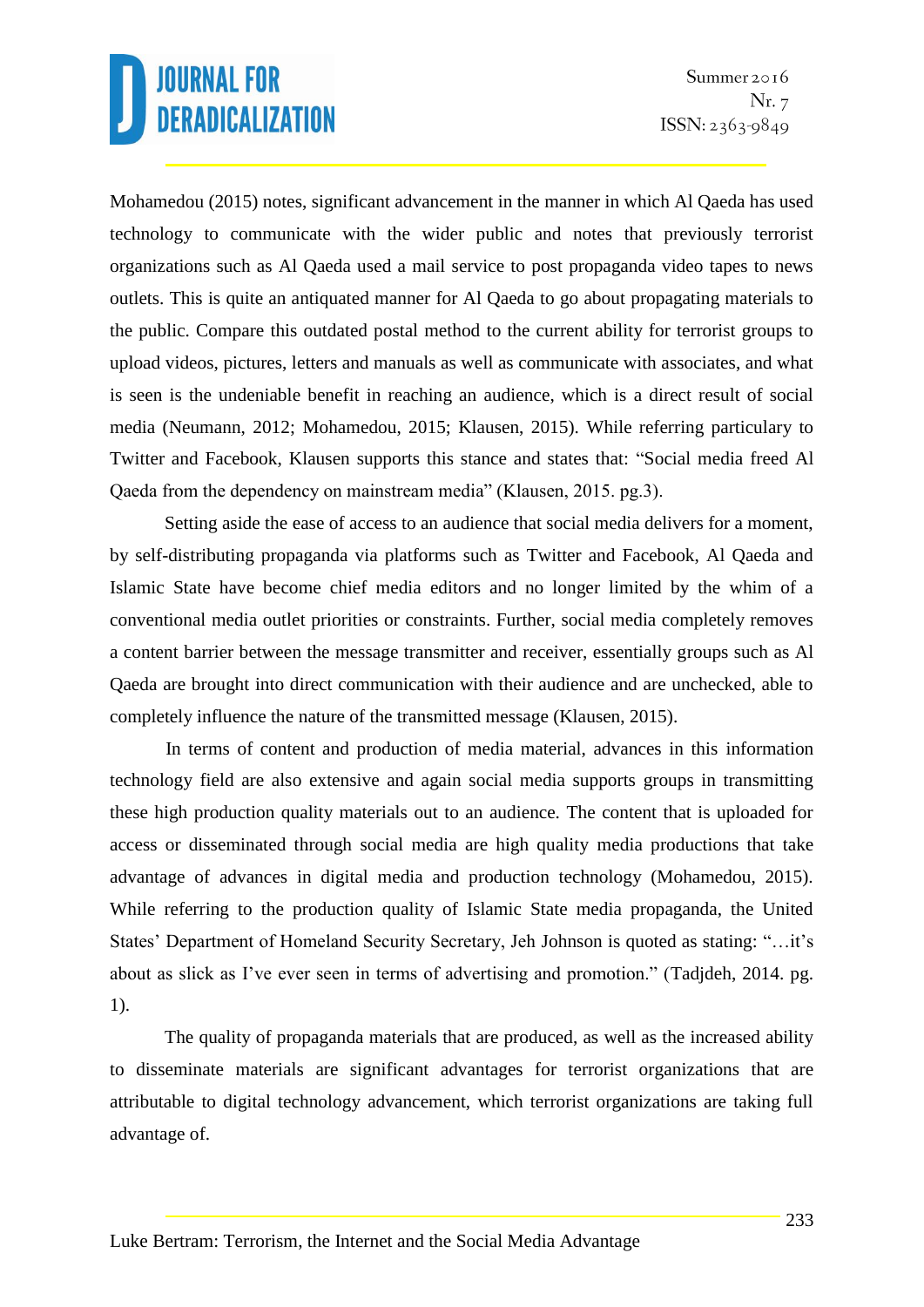Mohamedou (2015) notes, significant advancement in the manner in which Al Qaeda has used technology to communicate with the wider public and notes that previously terrorist organizations such as Al Qaeda used a mail service to post propaganda video tapes to news outlets. This is quite an antiquated manner for Al Qaeda to go about propagating materials to the public. Compare this outdated postal method to the current ability for terrorist groups to upload videos, pictures, letters and manuals as well as communicate with associates, and what is seen is the undeniable benefit in reaching an audience, which is a direct result of social media (Neumann, 2012; Mohamedou, 2015; Klausen, 2015). While referring particulary to Twitter and Facebook, Klausen supports this stance and states that: "Social media freed Al Qaeda from the dependency on mainstream media" (Klausen, 2015. pg.3).

Setting aside the ease of access to an audience that social media delivers for a moment, by self-distributing propaganda via platforms such as Twitter and Facebook, Al Qaeda and Islamic State have become chief media editors and no longer limited by the whim of a conventional media outlet priorities or constraints. Further, social media completely removes a content barrier between the message transmitter and receiver, essentially groups such as Al Qaeda are brought into direct communication with their audience and are unchecked, able to completely influence the nature of the transmitted message (Klausen, 2015).

In terms of content and production of media material, advances in this information technology field are also extensive and again social media supports groups in transmitting these high production quality materials out to an audience. The content that is uploaded for access or disseminated through social media are high quality media productions that take advantage of advances in digital media and production technology (Mohamedou, 2015). While referring to the production quality of Islamic State media propaganda, the United States' Department of Homeland Security Secretary, Jeh Johnson is quoted as stating: "…it's about as slick as I've ever seen in terms of advertising and promotion." (Tadjdeh, 2014. pg. 1).

The quality of propaganda materials that are produced, as well as the increased ability to disseminate materials are significant advantages for terrorist organizations that are attributable to digital technology advancement, which terrorist organizations are taking full advantage of.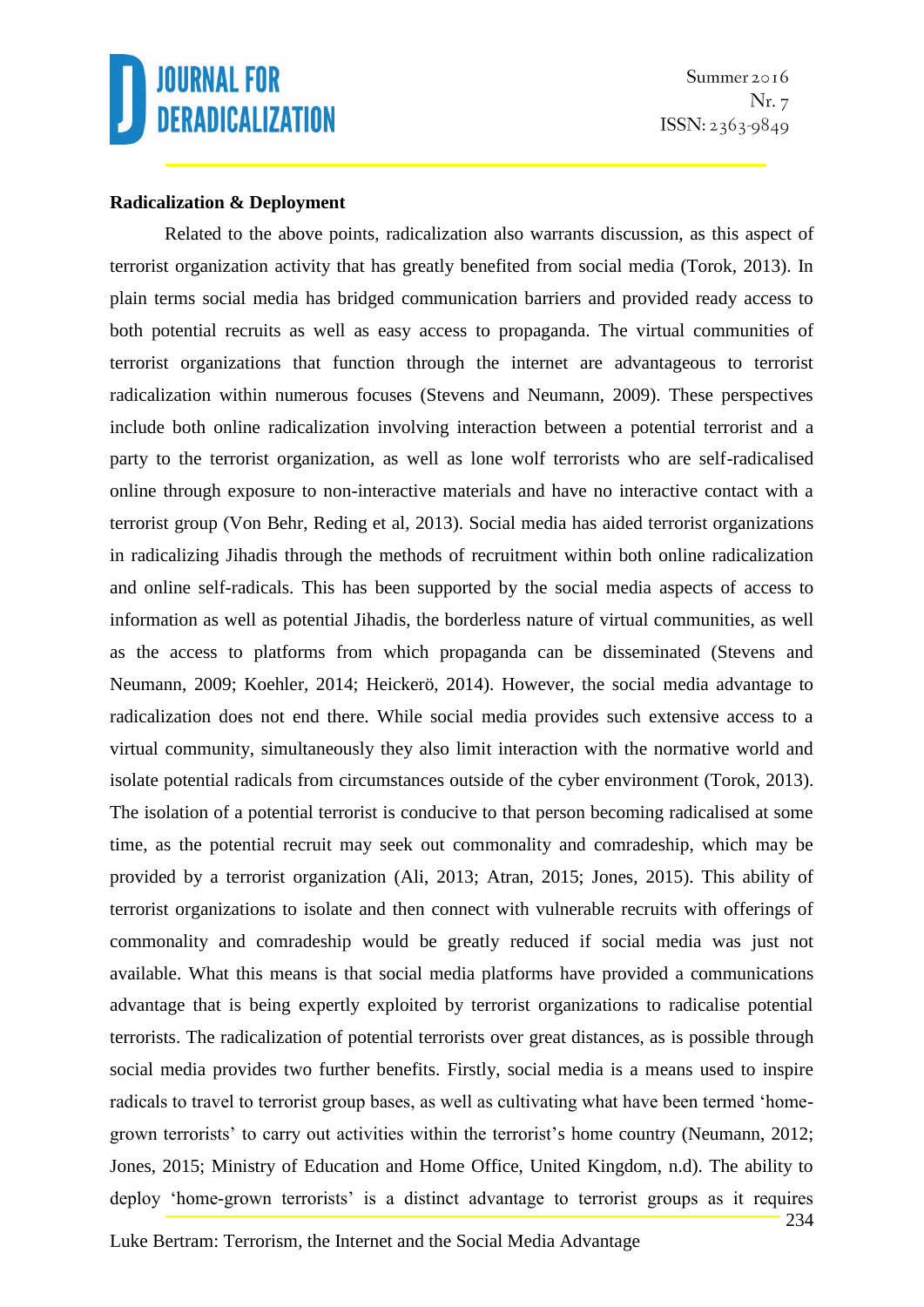### **Radicalization & Deployment**

Related to the above points, radicalization also warrants discussion, as this aspect of terrorist organization activity that has greatly benefited from social media (Torok, 2013). In plain terms social media has bridged communication barriers and provided ready access to both potential recruits as well as easy access to propaganda. The virtual communities of terrorist organizations that function through the internet are advantageous to terrorist radicalization within numerous focuses (Stevens and Neumann, 2009). These perspectives include both online radicalization involving interaction between a potential terrorist and a party to the terrorist organization, as well as lone wolf terrorists who are self-radicalised online through exposure to non-interactive materials and have no interactive contact with a terrorist group (Von Behr, Reding et al, 2013). Social media has aided terrorist organizations in radicalizing Jihadis through the methods of recruitment within both online radicalization and online self-radicals. This has been supported by the social media aspects of access to information as well as potential Jihadis, the borderless nature of virtual communities, as well as the access to platforms from which propaganda can be disseminated (Stevens and Neumann, 2009; Koehler, 2014; Heickerö, 2014). However, the social media advantage to radicalization does not end there. While social media provides such extensive access to a virtual community, simultaneously they also limit interaction with the normative world and isolate potential radicals from circumstances outside of the cyber environment (Torok, 2013). The isolation of a potential terrorist is conducive to that person becoming radicalised at some time, as the potential recruit may seek out commonality and comradeship, which may be provided by a terrorist organization (Ali, 2013; Atran, 2015; Jones, 2015). This ability of terrorist organizations to isolate and then connect with vulnerable recruits with offerings of commonality and comradeship would be greatly reduced if social media was just not available. What this means is that social media platforms have provided a communications advantage that is being expertly exploited by terrorist organizations to radicalise potential terrorists. The radicalization of potential terrorists over great distances, as is possible through social media provides two further benefits. Firstly, social media is a means used to inspire radicals to travel to terrorist group bases, as well as cultivating what have been termed 'homegrown terrorists' to carry out activities within the terrorist's home country (Neumann, 2012; Jones, 2015; Ministry of Education and Home Office, United Kingdom, n.d). The ability to deploy 'home-grown terrorists' is a distinct advantage to terrorist groups as it requires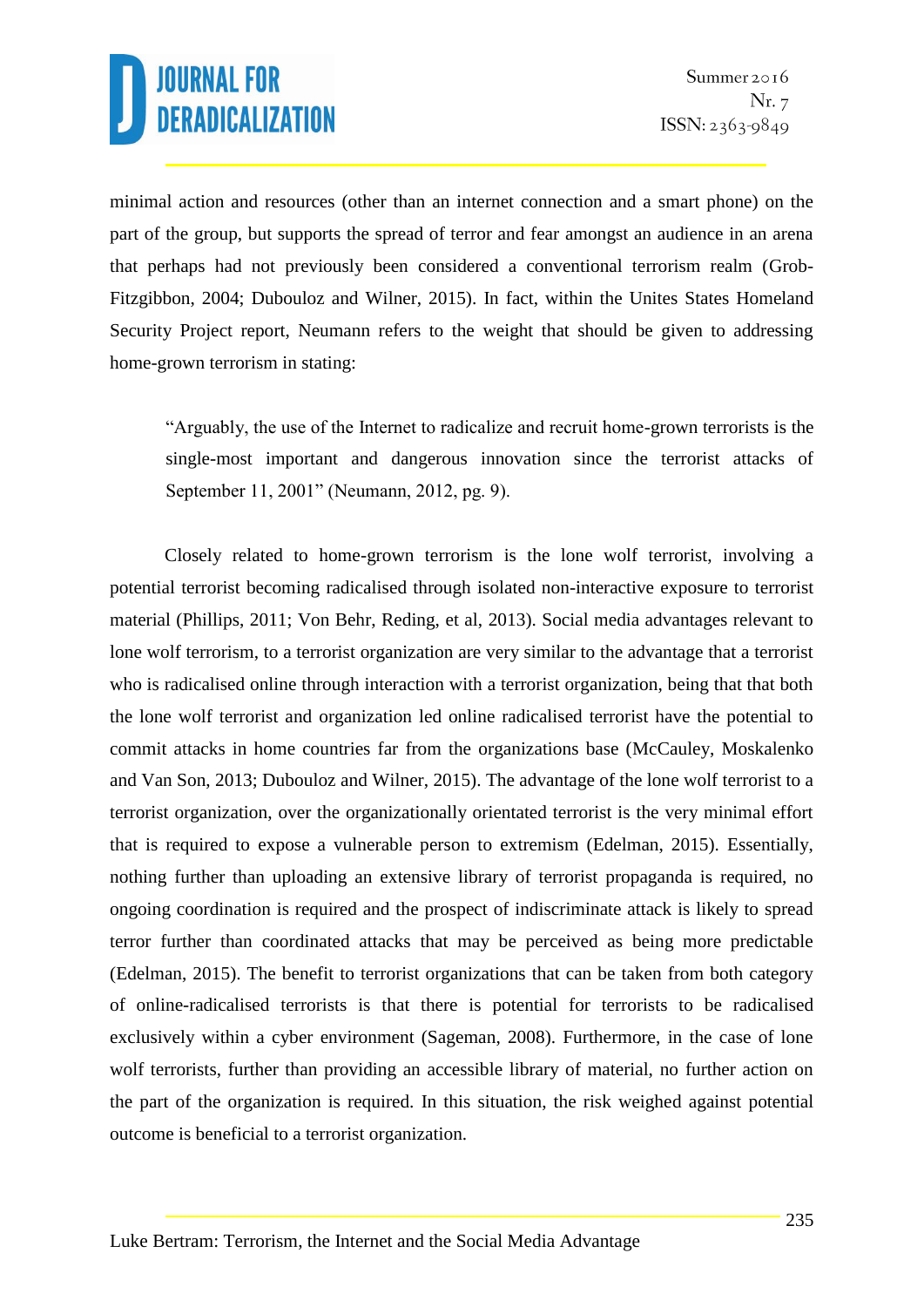minimal action and resources (other than an internet connection and a smart phone) on the part of the group, but supports the spread of terror and fear amongst an audience in an arena that perhaps had not previously been considered a conventional terrorism realm (Grob-Fitzgibbon, 2004; Dubouloz and Wilner, 2015). In fact, within the Unites States Homeland Security Project report, Neumann refers to the weight that should be given to addressing home-grown terrorism in stating:

"Arguably, the use of the Internet to radicalize and recruit home-grown terrorists is the single-most important and dangerous innovation since the terrorist attacks of September 11, 2001" (Neumann, 2012, pg. 9).

Closely related to home-grown terrorism is the lone wolf terrorist, involving a potential terrorist becoming radicalised through isolated non-interactive exposure to terrorist material (Phillips, 2011; Von Behr, Reding, et al, 2013). Social media advantages relevant to lone wolf terrorism, to a terrorist organization are very similar to the advantage that a terrorist who is radicalised online through interaction with a terrorist organization, being that that both the lone wolf terrorist and organization led online radicalised terrorist have the potential to commit attacks in home countries far from the organizations base (McCauley, Moskalenko and Van Son, 2013; Dubouloz and Wilner, 2015). The advantage of the lone wolf terrorist to a terrorist organization, over the organizationally orientated terrorist is the very minimal effort that is required to expose a vulnerable person to extremism (Edelman, 2015). Essentially, nothing further than uploading an extensive library of terrorist propaganda is required, no ongoing coordination is required and the prospect of indiscriminate attack is likely to spread terror further than coordinated attacks that may be perceived as being more predictable (Edelman, 2015). The benefit to terrorist organizations that can be taken from both category of online-radicalised terrorists is that there is potential for terrorists to be radicalised exclusively within a cyber environment (Sageman, 2008). Furthermore, in the case of lone wolf terrorists, further than providing an accessible library of material, no further action on the part of the organization is required. In this situation, the risk weighed against potential outcome is beneficial to a terrorist organization.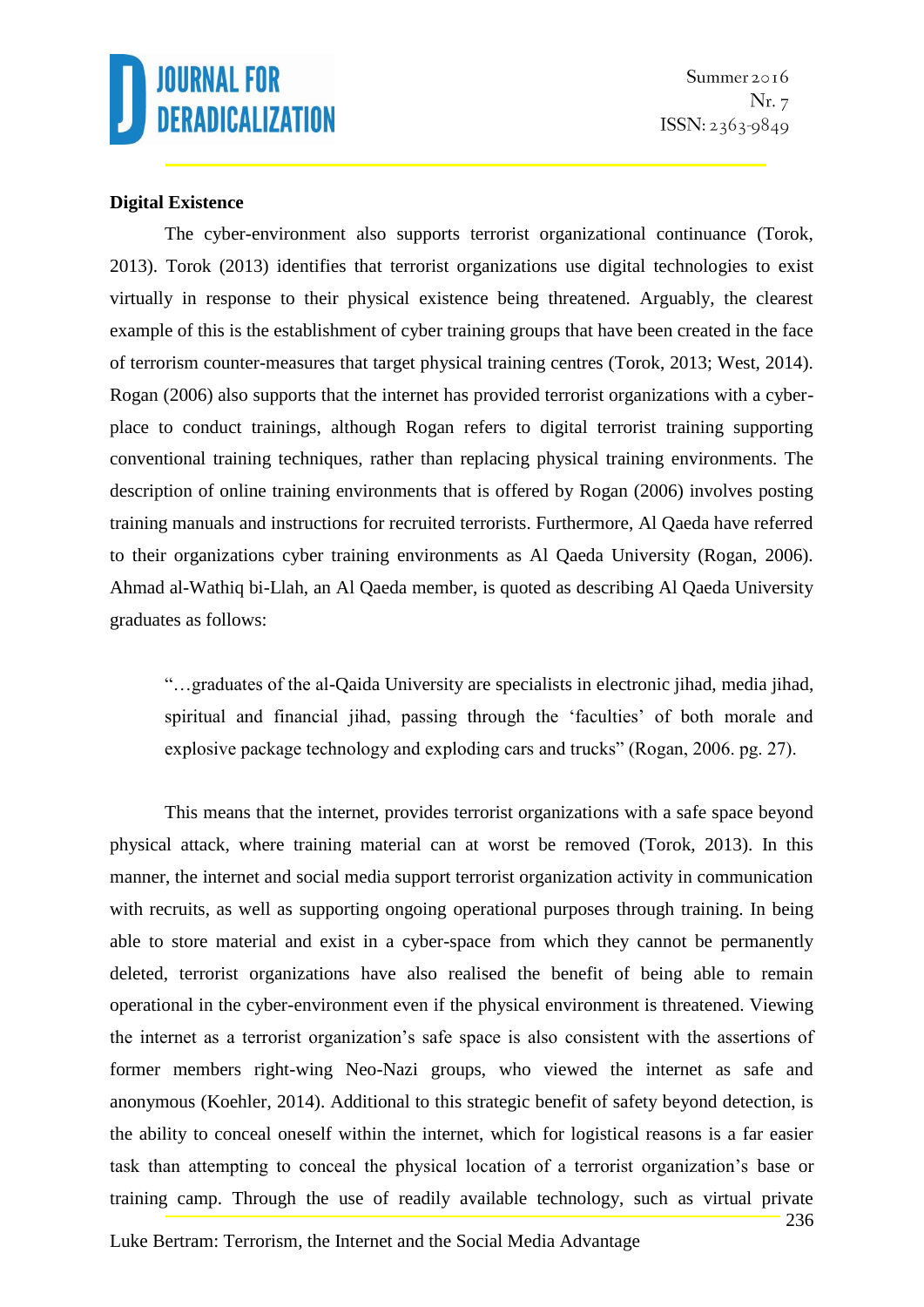

Summer 2016 Nr. 7  $ISSN: 2363-9849$ 

#### **Digital Existence**

The cyber-environment also supports terrorist organizational continuance (Torok, 2013). Torok (2013) identifies that terrorist organizations use digital technologies to exist virtually in response to their physical existence being threatened. Arguably, the clearest example of this is the establishment of cyber training groups that have been created in the face of terrorism counter-measures that target physical training centres (Torok, 2013; West, 2014). Rogan (2006) also supports that the internet has provided terrorist organizations with a cyberplace to conduct trainings, although Rogan refers to digital terrorist training supporting conventional training techniques, rather than replacing physical training environments. The description of online training environments that is offered by Rogan (2006) involves posting training manuals and instructions for recruited terrorists. Furthermore, Al Qaeda have referred to their organizations cyber training environments as Al Qaeda University (Rogan, 2006). Ahmad al-Wathiq bi-Llah, an Al Qaeda member, is quoted as describing Al Qaeda University graduates as follows:

"…graduates of the al-Qaida University are specialists in electronic jihad, media jihad, spiritual and financial jihad, passing through the 'faculties' of both morale and explosive package technology and exploding cars and trucks" (Rogan, 2006. pg. 27).

This means that the internet, provides terrorist organizations with a safe space beyond physical attack, where training material can at worst be removed (Torok, 2013). In this manner, the internet and social media support terrorist organization activity in communication with recruits, as well as supporting ongoing operational purposes through training. In being able to store material and exist in a cyber-space from which they cannot be permanently deleted, terrorist organizations have also realised the benefit of being able to remain operational in the cyber-environment even if the physical environment is threatened. Viewing the internet as a terrorist organization's safe space is also consistent with the assertions of former members right-wing Neo-Nazi groups, who viewed the internet as safe and anonymous (Koehler, 2014). Additional to this strategic benefit of safety beyond detection, is the ability to conceal oneself within the internet, which for logistical reasons is a far easier task than attempting to conceal the physical location of a terrorist organization's base or training camp. Through the use of readily available technology, such as virtual private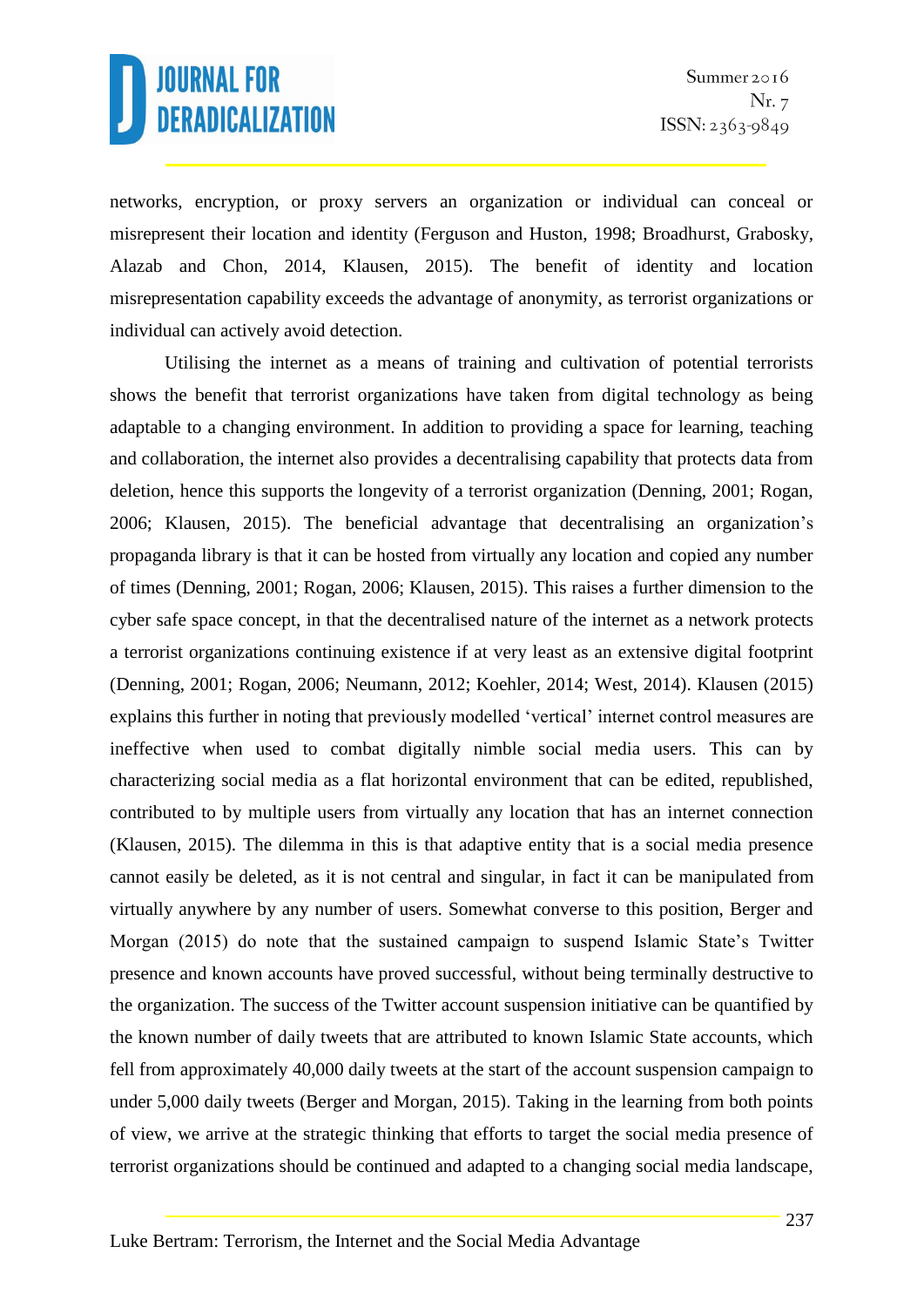networks, encryption, or proxy servers an organization or individual can conceal or misrepresent their location and identity (Ferguson and Huston, 1998; Broadhurst, Grabosky, Alazab and Chon, 2014, Klausen, 2015). The benefit of identity and location misrepresentation capability exceeds the advantage of anonymity, as terrorist organizations or individual can actively avoid detection.

Utilising the internet as a means of training and cultivation of potential terrorists shows the benefit that terrorist organizations have taken from digital technology as being adaptable to a changing environment. In addition to providing a space for learning, teaching and collaboration, the internet also provides a decentralising capability that protects data from deletion, hence this supports the longevity of a terrorist organization (Denning, 2001; Rogan, 2006; Klausen, 2015). The beneficial advantage that decentralising an organization's propaganda library is that it can be hosted from virtually any location and copied any number of times (Denning, 2001; Rogan, 2006; Klausen, 2015). This raises a further dimension to the cyber safe space concept, in that the decentralised nature of the internet as a network protects a terrorist organizations continuing existence if at very least as an extensive digital footprint (Denning, 2001; Rogan, 2006; Neumann, 2012; Koehler, 2014; West, 2014). Klausen (2015) explains this further in noting that previously modelled 'vertical' internet control measures are ineffective when used to combat digitally nimble social media users. This can by characterizing social media as a flat horizontal environment that can be edited, republished, contributed to by multiple users from virtually any location that has an internet connection (Klausen, 2015). The dilemma in this is that adaptive entity that is a social media presence cannot easily be deleted, as it is not central and singular, in fact it can be manipulated from virtually anywhere by any number of users. Somewhat converse to this position, Berger and Morgan (2015) do note that the sustained campaign to suspend Islamic State's Twitter presence and known accounts have proved successful, without being terminally destructive to the organization. The success of the Twitter account suspension initiative can be quantified by the known number of daily tweets that are attributed to known Islamic State accounts, which fell from approximately 40,000 daily tweets at the start of the account suspension campaign to under 5,000 daily tweets (Berger and Morgan, 2015). Taking in the learning from both points of view, we arrive at the strategic thinking that efforts to target the social media presence of terrorist organizations should be continued and adapted to a changing social media landscape,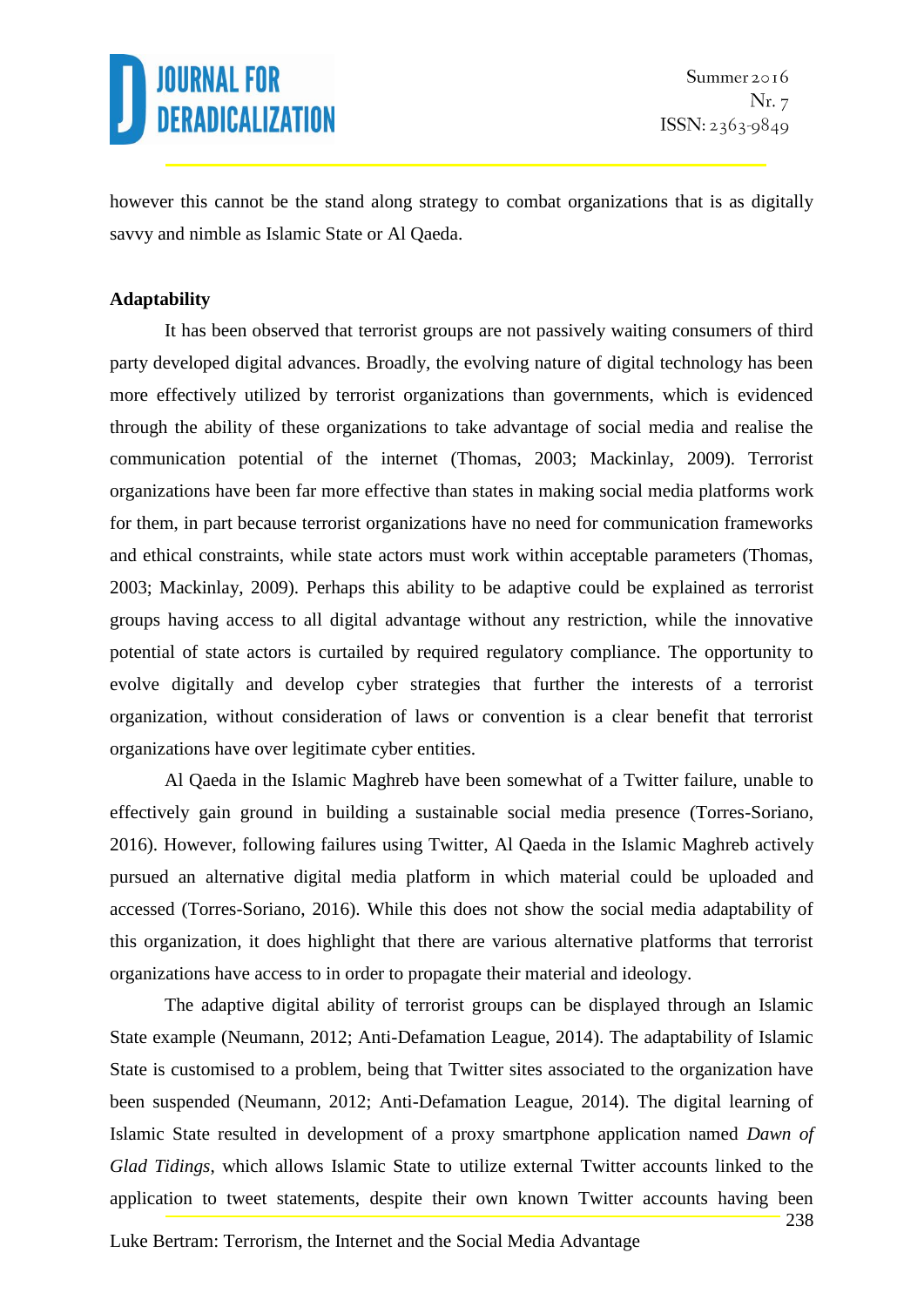however this cannot be the stand along strategy to combat organizations that is as digitally savvy and nimble as Islamic State or Al Qaeda.

### **Adaptability**

It has been observed that terrorist groups are not passively waiting consumers of third party developed digital advances. Broadly, the evolving nature of digital technology has been more effectively utilized by terrorist organizations than governments, which is evidenced through the ability of these organizations to take advantage of social media and realise the communication potential of the internet (Thomas, 2003; Mackinlay, 2009). Terrorist organizations have been far more effective than states in making social media platforms work for them, in part because terrorist organizations have no need for communication frameworks and ethical constraints, while state actors must work within acceptable parameters (Thomas, 2003; Mackinlay, 2009). Perhaps this ability to be adaptive could be explained as terrorist groups having access to all digital advantage without any restriction, while the innovative potential of state actors is curtailed by required regulatory compliance. The opportunity to evolve digitally and develop cyber strategies that further the interests of a terrorist organization, without consideration of laws or convention is a clear benefit that terrorist organizations have over legitimate cyber entities.

Al Qaeda in the Islamic Maghreb have been somewhat of a Twitter failure, unable to effectively gain ground in building a sustainable social media presence (Torres-Soriano, 2016). However, following failures using Twitter, Al Qaeda in the Islamic Maghreb actively pursued an alternative digital media platform in which material could be uploaded and accessed (Torres-Soriano, 2016). While this does not show the social media adaptability of this organization, it does highlight that there are various alternative platforms that terrorist organizations have access to in order to propagate their material and ideology.

The adaptive digital ability of terrorist groups can be displayed through an Islamic State example (Neumann, 2012; Anti-Defamation League, 2014). The adaptability of Islamic State is customised to a problem, being that Twitter sites associated to the organization have been suspended (Neumann, 2012; Anti-Defamation League, 2014). The digital learning of Islamic State resulted in development of a proxy smartphone application named *Dawn of Glad Tidings*, which allows Islamic State to utilize external Twitter accounts linked to the application to tweet statements, despite their own known Twitter accounts having been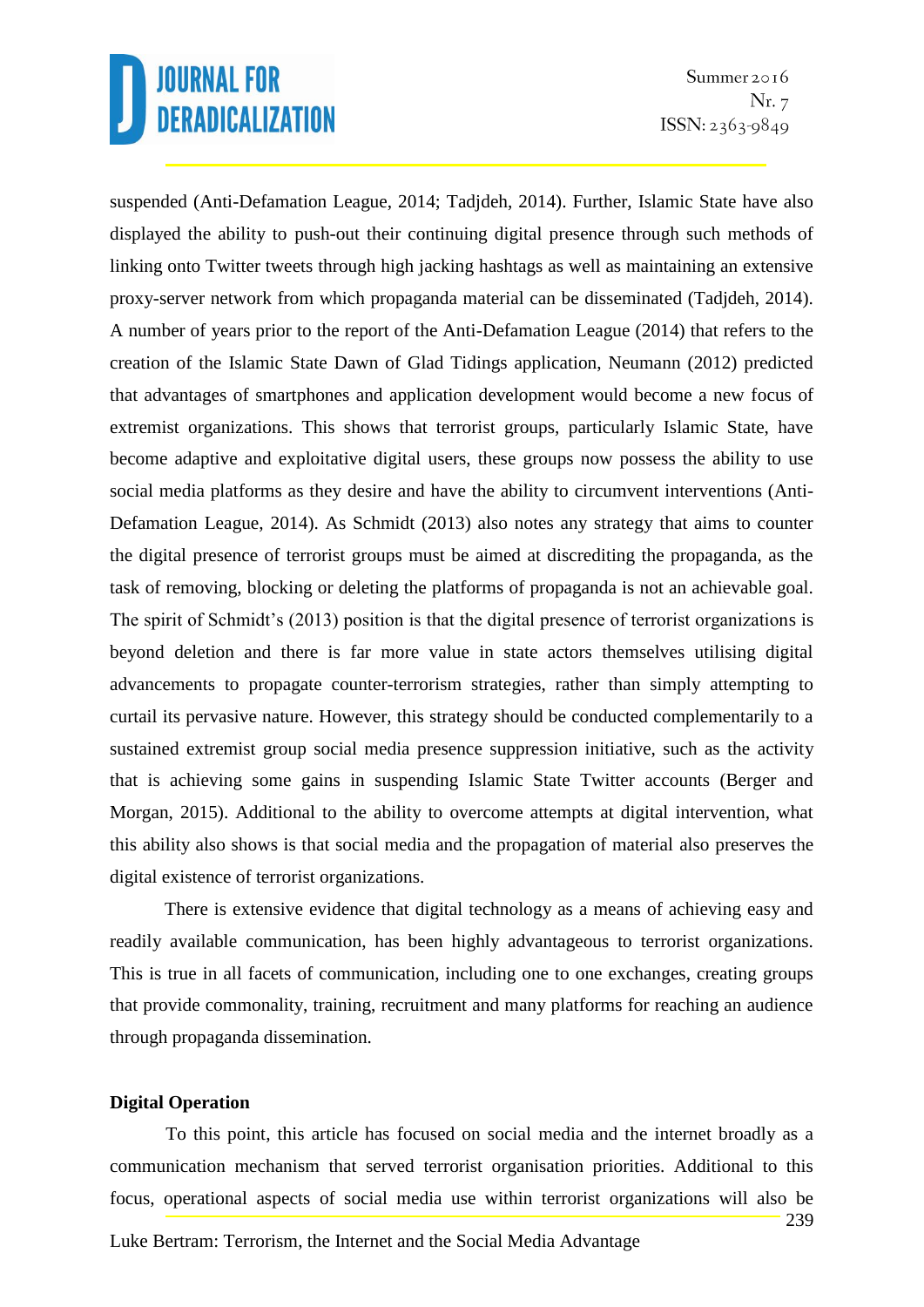suspended (Anti-Defamation League, 2014; Tadjdeh, 2014). Further, Islamic State have also displayed the ability to push-out their continuing digital presence through such methods of linking onto Twitter tweets through high jacking hashtags as well as maintaining an extensive proxy-server network from which propaganda material can be disseminated (Tadjdeh, 2014). A number of years prior to the report of the Anti-Defamation League (2014) that refers to the creation of the Islamic State Dawn of Glad Tidings application, Neumann (2012) predicted that advantages of smartphones and application development would become a new focus of extremist organizations. This shows that terrorist groups, particularly Islamic State, have become adaptive and exploitative digital users, these groups now possess the ability to use social media platforms as they desire and have the ability to circumvent interventions (Anti-Defamation League, 2014). As Schmidt (2013) also notes any strategy that aims to counter the digital presence of terrorist groups must be aimed at discrediting the propaganda, as the task of removing, blocking or deleting the platforms of propaganda is not an achievable goal. The spirit of Schmidt's (2013) position is that the digital presence of terrorist organizations is beyond deletion and there is far more value in state actors themselves utilising digital advancements to propagate counter-terrorism strategies, rather than simply attempting to curtail its pervasive nature. However, this strategy should be conducted complementarily to a sustained extremist group social media presence suppression initiative, such as the activity that is achieving some gains in suspending Islamic State Twitter accounts (Berger and Morgan, 2015). Additional to the ability to overcome attempts at digital intervention, what this ability also shows is that social media and the propagation of material also preserves the digital existence of terrorist organizations.

There is extensive evidence that digital technology as a means of achieving easy and readily available communication, has been highly advantageous to terrorist organizations. This is true in all facets of communication, including one to one exchanges, creating groups that provide commonality, training, recruitment and many platforms for reaching an audience through propaganda dissemination.

#### **Digital Operation**

Luke Bertram: Terrorism, the Internet and the Social Media Advantage 239 To this point, this article has focused on social media and the internet broadly as a communication mechanism that served terrorist organisation priorities. Additional to this focus, operational aspects of social media use within terrorist organizations will also be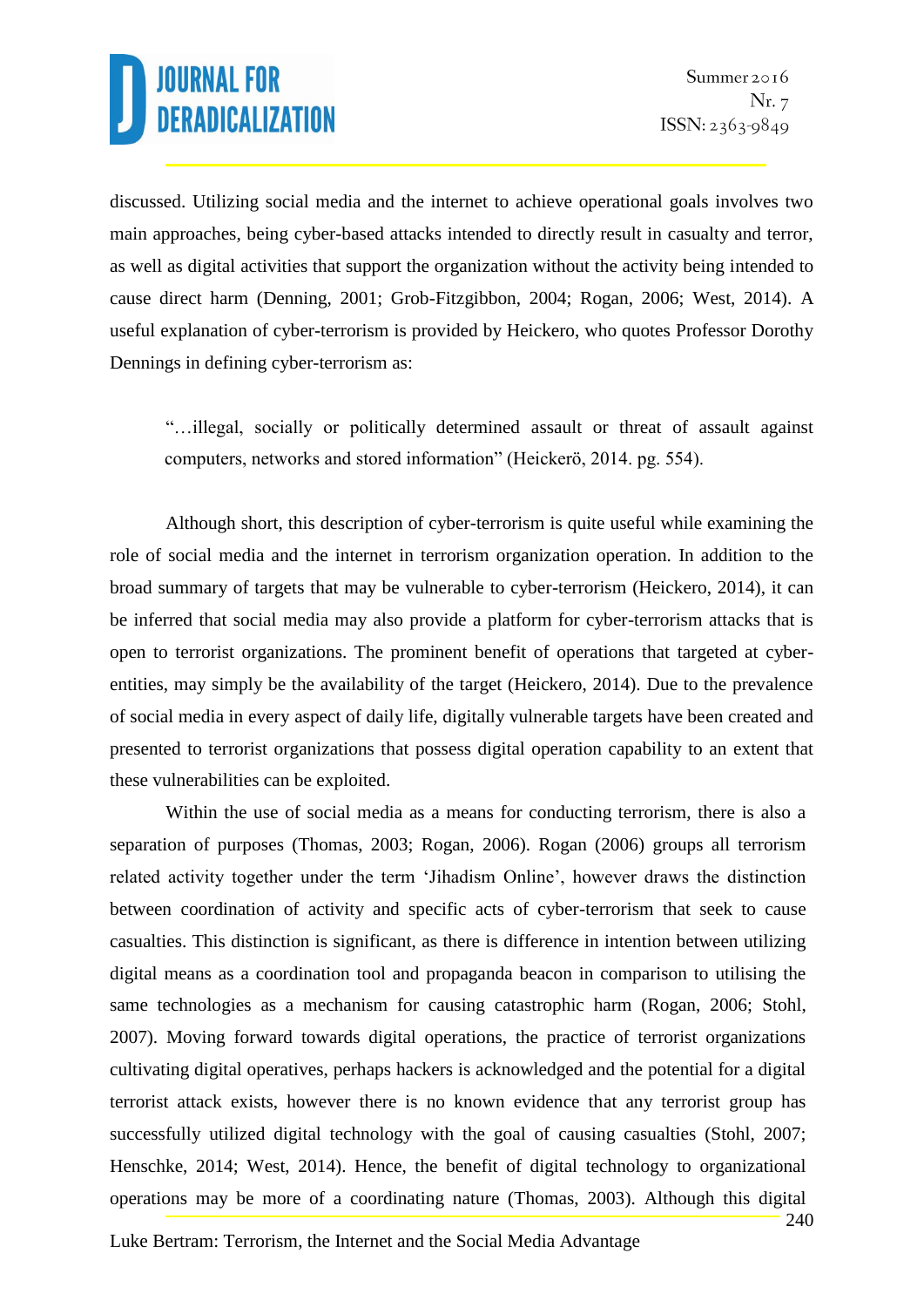discussed. Utilizing social media and the internet to achieve operational goals involves two main approaches, being cyber-based attacks intended to directly result in casualty and terror, as well as digital activities that support the organization without the activity being intended to cause direct harm (Denning, 2001; Grob-Fitzgibbon, 2004; Rogan, 2006; West, 2014). A useful explanation of cyber-terrorism is provided by Heickero, who quotes Professor Dorothy Dennings in defining cyber-terrorism as:

"…illegal, socially or politically determined assault or threat of assault against computers, networks and stored information" (Heickerö, 2014. pg. 554).

Although short, this description of cyber-terrorism is quite useful while examining the role of social media and the internet in terrorism organization operation. In addition to the broad summary of targets that may be vulnerable to cyber-terrorism (Heickero, 2014), it can be inferred that social media may also provide a platform for cyber-terrorism attacks that is open to terrorist organizations. The prominent benefit of operations that targeted at cyberentities, may simply be the availability of the target (Heickero, 2014). Due to the prevalence of social media in every aspect of daily life, digitally vulnerable targets have been created and presented to terrorist organizations that possess digital operation capability to an extent that these vulnerabilities can be exploited.

Within the use of social media as a means for conducting terrorism, there is also a separation of purposes (Thomas, 2003; Rogan, 2006). Rogan (2006) groups all terrorism related activity together under the term 'Jihadism Online', however draws the distinction between coordination of activity and specific acts of cyber-terrorism that seek to cause casualties. This distinction is significant, as there is difference in intention between utilizing digital means as a coordination tool and propaganda beacon in comparison to utilising the same technologies as a mechanism for causing catastrophic harm (Rogan, 2006; Stohl, 2007). Moving forward towards digital operations, the practice of terrorist organizations cultivating digital operatives, perhaps hackers is acknowledged and the potential for a digital terrorist attack exists, however there is no known evidence that any terrorist group has successfully utilized digital technology with the goal of causing casualties (Stohl, 2007; Henschke, 2014; West, 2014). Hence, the benefit of digital technology to organizational operations may be more of a coordinating nature (Thomas, 2003). Although this digital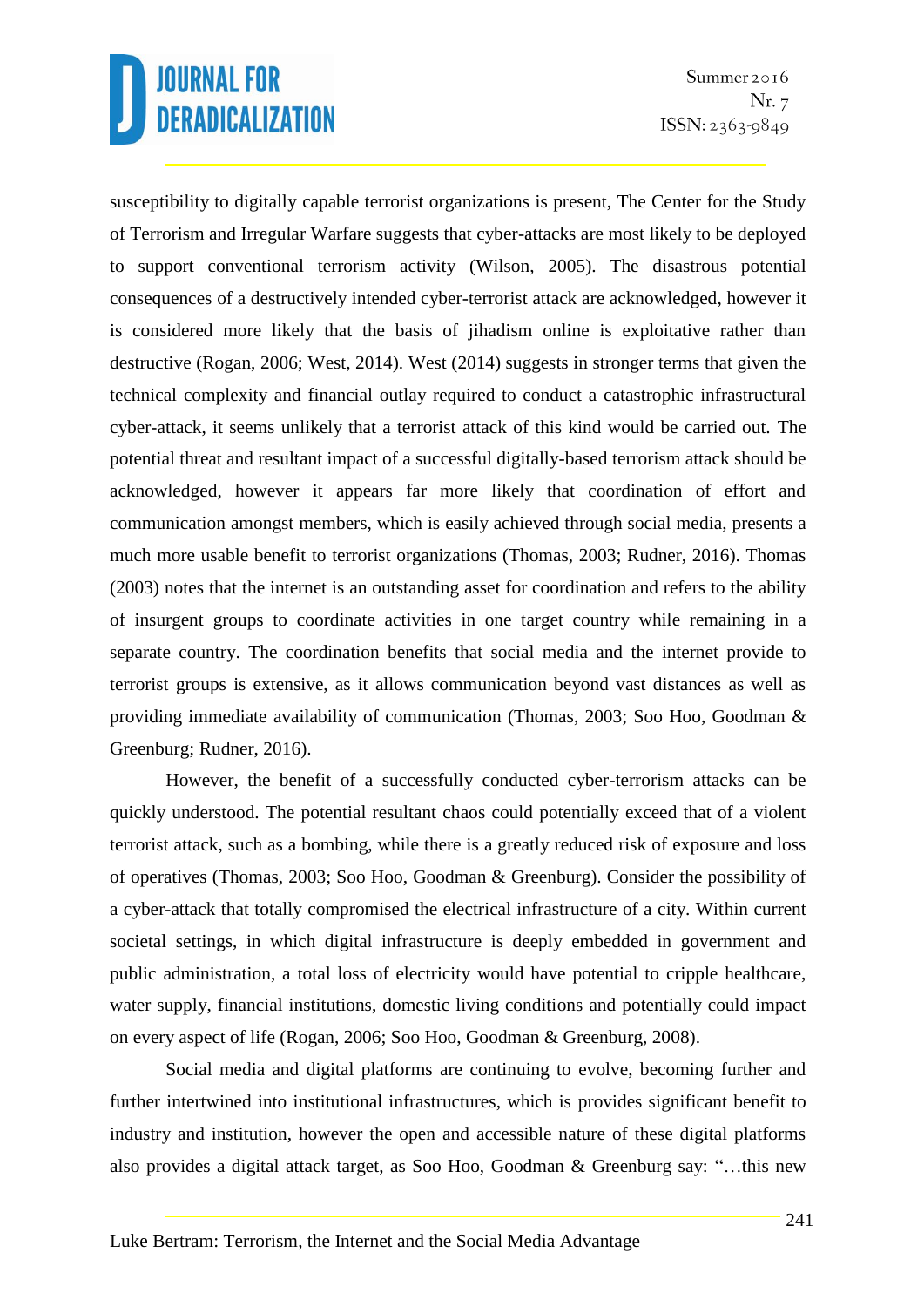susceptibility to digitally capable terrorist organizations is present, The Center for the Study of Terrorism and Irregular Warfare suggests that cyber-attacks are most likely to be deployed to support conventional terrorism activity (Wilson, 2005). The disastrous potential consequences of a destructively intended cyber-terrorist attack are acknowledged, however it is considered more likely that the basis of jihadism online is exploitative rather than destructive (Rogan, 2006; West, 2014). West (2014) suggests in stronger terms that given the technical complexity and financial outlay required to conduct a catastrophic infrastructural cyber-attack, it seems unlikely that a terrorist attack of this kind would be carried out. The potential threat and resultant impact of a successful digitally-based terrorism attack should be acknowledged, however it appears far more likely that coordination of effort and communication amongst members, which is easily achieved through social media, presents a much more usable benefit to terrorist organizations (Thomas, 2003; Rudner, 2016). Thomas (2003) notes that the internet is an outstanding asset for coordination and refers to the ability of insurgent groups to coordinate activities in one target country while remaining in a separate country. The coordination benefits that social media and the internet provide to terrorist groups is extensive, as it allows communication beyond vast distances as well as providing immediate availability of communication (Thomas, 2003; Soo Hoo, Goodman & Greenburg; Rudner, 2016).

However, the benefit of a successfully conducted cyber-terrorism attacks can be quickly understood. The potential resultant chaos could potentially exceed that of a violent terrorist attack, such as a bombing, while there is a greatly reduced risk of exposure and loss of operatives (Thomas, 2003; Soo Hoo, Goodman & Greenburg). Consider the possibility of a cyber-attack that totally compromised the electrical infrastructure of a city. Within current societal settings, in which digital infrastructure is deeply embedded in government and public administration, a total loss of electricity would have potential to cripple healthcare, water supply, financial institutions, domestic living conditions and potentially could impact on every aspect of life (Rogan, 2006; Soo Hoo, Goodman & Greenburg, 2008).

Social media and digital platforms are continuing to evolve, becoming further and further intertwined into institutional infrastructures, which is provides significant benefit to industry and institution, however the open and accessible nature of these digital platforms also provides a digital attack target, as Soo Hoo, Goodman & Greenburg say: "…this new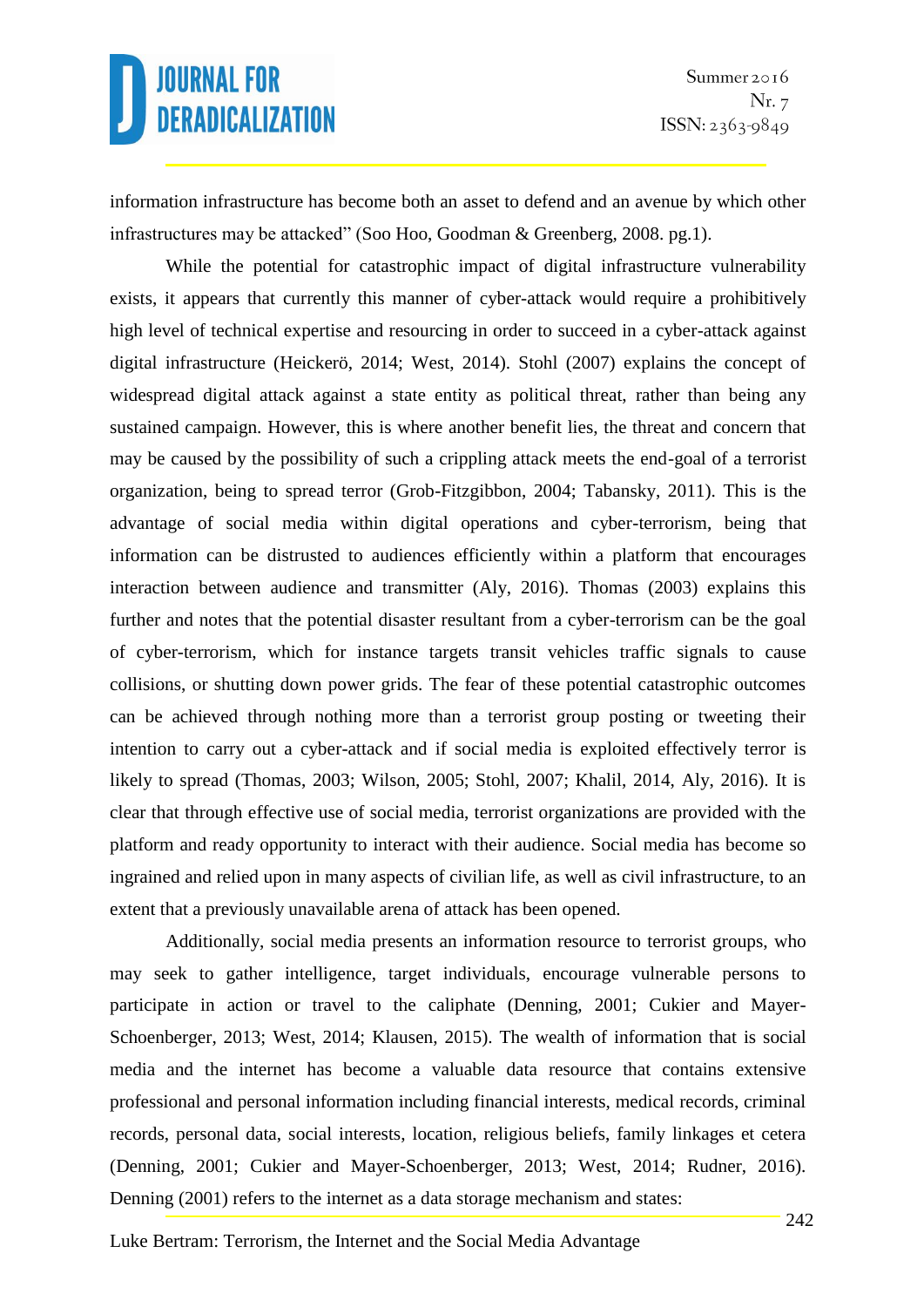information infrastructure has become both an asset to defend and an avenue by which other infrastructures may be attacked" (Soo Hoo, Goodman & Greenberg, 2008. pg.1).

While the potential for catastrophic impact of digital infrastructure vulnerability exists, it appears that currently this manner of cyber-attack would require a prohibitively high level of technical expertise and resourcing in order to succeed in a cyber-attack against digital infrastructure (Heickerö, 2014; West, 2014). Stohl (2007) explains the concept of widespread digital attack against a state entity as political threat, rather than being any sustained campaign. However, this is where another benefit lies, the threat and concern that may be caused by the possibility of such a crippling attack meets the end-goal of a terrorist organization, being to spread terror (Grob-Fitzgibbon, 2004; Tabansky, 2011). This is the advantage of social media within digital operations and cyber-terrorism, being that information can be distrusted to audiences efficiently within a platform that encourages interaction between audience and transmitter (Aly, 2016). Thomas (2003) explains this further and notes that the potential disaster resultant from a cyber-terrorism can be the goal of cyber-terrorism, which for instance targets transit vehicles traffic signals to cause collisions, or shutting down power grids. The fear of these potential catastrophic outcomes can be achieved through nothing more than a terrorist group posting or tweeting their intention to carry out a cyber-attack and if social media is exploited effectively terror is likely to spread (Thomas, 2003; Wilson, 2005; Stohl, 2007; Khalil, 2014, Aly, 2016). It is clear that through effective use of social media, terrorist organizations are provided with the platform and ready opportunity to interact with their audience. Social media has become so ingrained and relied upon in many aspects of civilian life, as well as civil infrastructure, to an extent that a previously unavailable arena of attack has been opened.

Additionally, social media presents an information resource to terrorist groups, who may seek to gather intelligence, target individuals, encourage vulnerable persons to participate in action or travel to the caliphate (Denning, 2001; Cukier and Mayer-Schoenberger, 2013; West, 2014; Klausen, 2015). The wealth of information that is social media and the internet has become a valuable data resource that contains extensive professional and personal information including financial interests, medical records, criminal records, personal data, social interests, location, religious beliefs, family linkages et cetera (Denning, 2001; Cukier and Mayer-Schoenberger, 2013; West, 2014; Rudner, 2016). Denning (2001) refers to the internet as a data storage mechanism and states: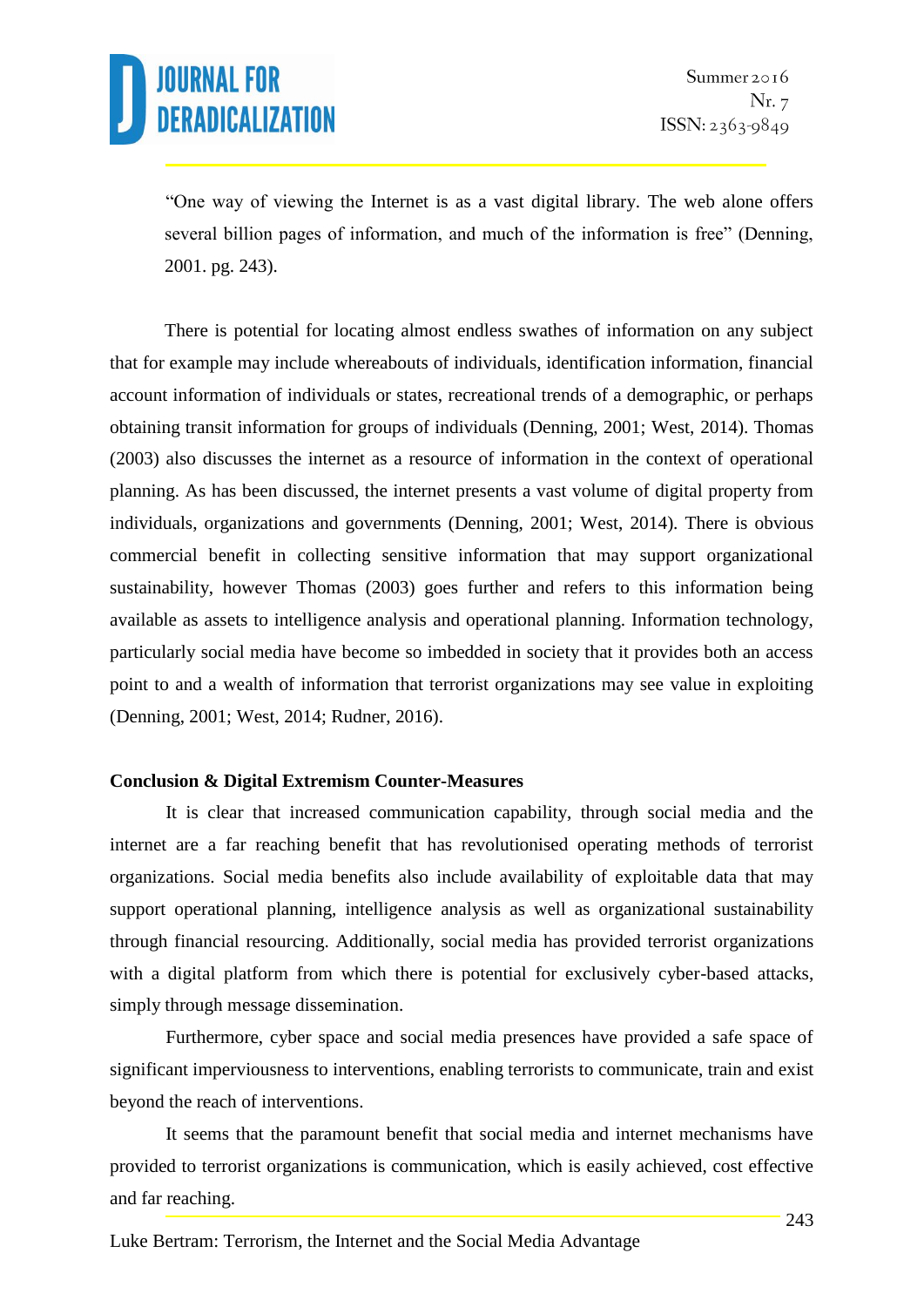"One way of viewing the Internet is as a vast digital library. The web alone offers several billion pages of information, and much of the information is free" (Denning, 2001. pg. 243).

There is potential for locating almost endless swathes of information on any subject that for example may include whereabouts of individuals, identification information, financial account information of individuals or states, recreational trends of a demographic, or perhaps obtaining transit information for groups of individuals (Denning, 2001; West, 2014). Thomas (2003) also discusses the internet as a resource of information in the context of operational planning. As has been discussed, the internet presents a vast volume of digital property from individuals, organizations and governments (Denning, 2001; West, 2014). There is obvious commercial benefit in collecting sensitive information that may support organizational sustainability, however Thomas (2003) goes further and refers to this information being available as assets to intelligence analysis and operational planning. Information technology, particularly social media have become so imbedded in society that it provides both an access point to and a wealth of information that terrorist organizations may see value in exploiting (Denning, 2001; West, 2014; Rudner, 2016).

#### **Conclusion & Digital Extremism Counter-Measures**

It is clear that increased communication capability, through social media and the internet are a far reaching benefit that has revolutionised operating methods of terrorist organizations. Social media benefits also include availability of exploitable data that may support operational planning, intelligence analysis as well as organizational sustainability through financial resourcing. Additionally, social media has provided terrorist organizations with a digital platform from which there is potential for exclusively cyber-based attacks, simply through message dissemination.

Furthermore, cyber space and social media presences have provided a safe space of significant imperviousness to interventions, enabling terrorists to communicate, train and exist beyond the reach of interventions.

It seems that the paramount benefit that social media and internet mechanisms have provided to terrorist organizations is communication, which is easily achieved, cost effective and far reaching.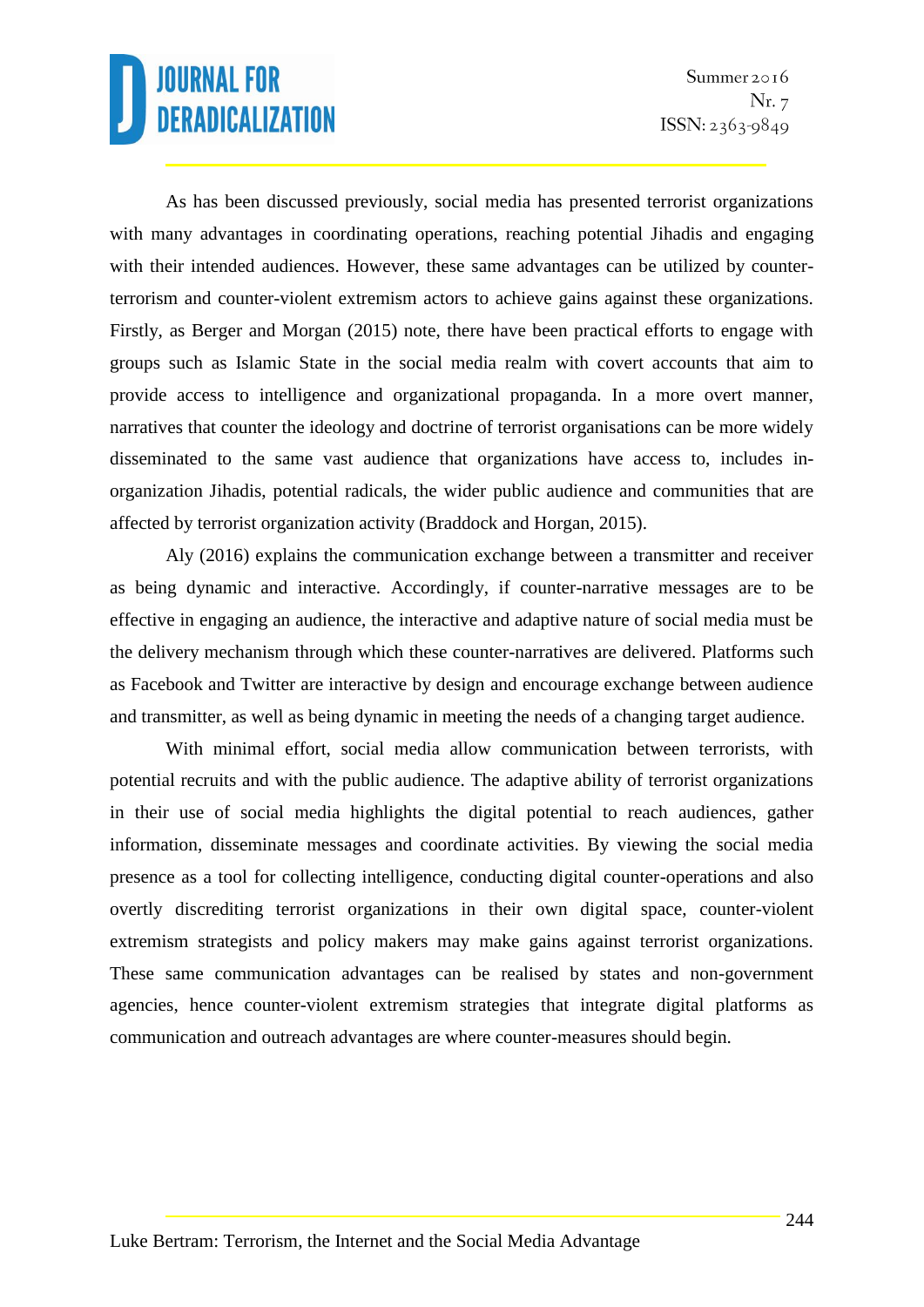As has been discussed previously, social media has presented terrorist organizations with many advantages in coordinating operations, reaching potential Jihadis and engaging with their intended audiences. However, these same advantages can be utilized by counterterrorism and counter-violent extremism actors to achieve gains against these organizations. Firstly, as Berger and Morgan (2015) note, there have been practical efforts to engage with groups such as Islamic State in the social media realm with covert accounts that aim to provide access to intelligence and organizational propaganda. In a more overt manner, narratives that counter the ideology and doctrine of terrorist organisations can be more widely disseminated to the same vast audience that organizations have access to, includes inorganization Jihadis, potential radicals, the wider public audience and communities that are affected by terrorist organization activity (Braddock and Horgan, 2015).

Aly (2016) explains the communication exchange between a transmitter and receiver as being dynamic and interactive. Accordingly, if counter-narrative messages are to be effective in engaging an audience, the interactive and adaptive nature of social media must be the delivery mechanism through which these counter-narratives are delivered. Platforms such as Facebook and Twitter are interactive by design and encourage exchange between audience and transmitter, as well as being dynamic in meeting the needs of a changing target audience.

With minimal effort, social media allow communication between terrorists, with potential recruits and with the public audience. The adaptive ability of terrorist organizations in their use of social media highlights the digital potential to reach audiences, gather information, disseminate messages and coordinate activities. By viewing the social media presence as a tool for collecting intelligence, conducting digital counter-operations and also overtly discrediting terrorist organizations in their own digital space, counter-violent extremism strategists and policy makers may make gains against terrorist organizations. These same communication advantages can be realised by states and non-government agencies, hence counter-violent extremism strategies that integrate digital platforms as communication and outreach advantages are where counter-measures should begin.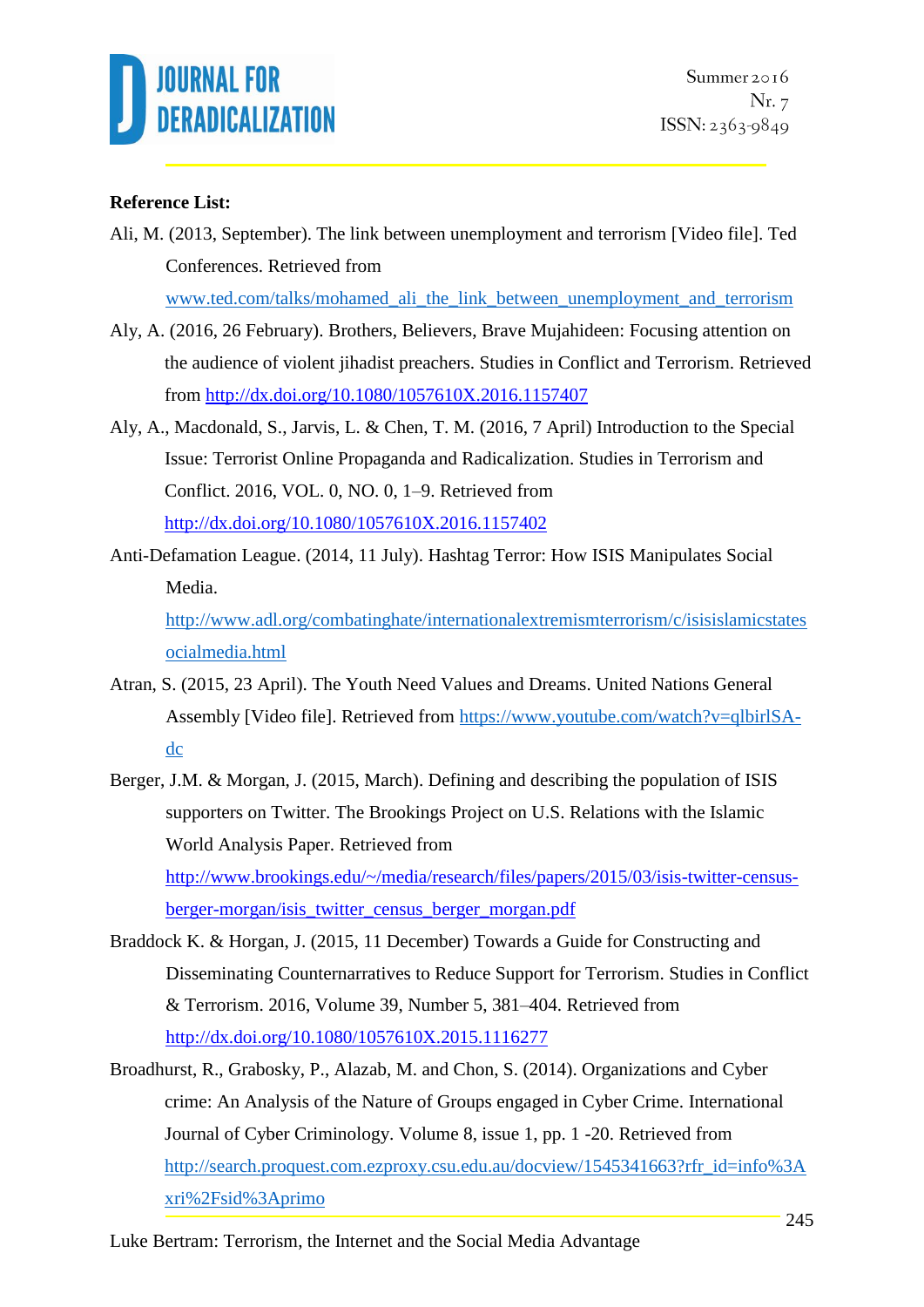

### **Reference List:**

Ali, M. (2013, September). The link between unemployment and terrorism [Video file]. Ted Conferences. Retrieved from

[www.ted.com/talks/mohamed\\_ali\\_the\\_link\\_between\\_unemployment\\_and\\_terrorism](http://www.ted.com/talks/mohamed_ali_the_link_between_unemployment_and_terrorism)

- Aly, A. (2016, 26 February). Brothers, Believers, Brave Mujahideen: Focusing attention on the audience of violent jihadist preachers. Studies in Conflict and Terrorism. Retrieved from<http://dx.doi.org/10.1080/1057610X.2016.1157407>
- Aly, A., Macdonald, S., Jarvis, L. & Chen, T. M. (2016, 7 April) Introduction to the Special Issue: Terrorist Online Propaganda and Radicalization. Studies in Terrorism and Conflict. 2016, VOL. 0, NO. 0, 1–9. Retrieved from <http://dx.doi.org/10.1080/1057610X.2016.1157402>
- Anti-Defamation League. (2014, 11 July). Hashtag Terror: How ISIS Manipulates Social Media.

[http://www.adl.org/combatinghate/internationalextremismterrorism/c/isisislamicstates](http://www.adl.org/combatinghate/internationalextremismterrorism/c/isisislamicstatesocialmedia.html) [ocialmedia.html](http://www.adl.org/combatinghate/internationalextremismterrorism/c/isisislamicstatesocialmedia.html)

- Atran, S. (2015, 23 April). The Youth Need Values and Dreams. United Nations General Assembly [Video file]. Retrieved from [https://www.youtube.com/watch?v=qlbirlSA](https://www.youtube.com/watch?v=qlbirlSA-dc)[dc](https://www.youtube.com/watch?v=qlbirlSA-dc)
- Berger, J.M. & Morgan, J. (2015, March). Defining and describing the population of ISIS supporters on Twitter. The Brookings Project on U.S. Relations with the Islamic World Analysis Paper. Retrieved from [http://www.brookings.edu/~/media/research/files/papers/2015/03/isis-twitter-census](http://www.brookings.edu/~/media/research/files/papers/2015/03/isis-twitter-census-berger-morgan/isis_twitter_census_berger_morgan.pdf)[berger-morgan/isis\\_twitter\\_census\\_berger\\_morgan.pdf](http://www.brookings.edu/~/media/research/files/papers/2015/03/isis-twitter-census-berger-morgan/isis_twitter_census_berger_morgan.pdf)
- Braddock K. & Horgan, J. (2015, 11 December) Towards a Guide for Constructing and Disseminating Counternarratives to Reduce Support for Terrorism. Studies in Conflict & Terrorism. 2016, Volume 39, Number 5, 381–404. Retrieved from <http://dx.doi.org/10.1080/1057610X.2015.1116277>
- Broadhurst, R., Grabosky, P., Alazab, M. and Chon, S. (2014). Organizations and Cyber crime: An Analysis of the Nature of Groups engaged in Cyber Crime. International Journal of Cyber Criminology. Volume 8, issue 1, pp. 1 -20. Retrieved from [http://search.proquest.com.ezproxy.csu.edu.au/docview/1545341663?rfr\\_id=info%3A](http://search.proquest.com.ezproxy.csu.edu.au/docview/1545341663?rfr_id=info%3Axri%2Fsid%3Aprimo) [xri%2Fsid%3Aprimo](http://search.proquest.com.ezproxy.csu.edu.au/docview/1545341663?rfr_id=info%3Axri%2Fsid%3Aprimo)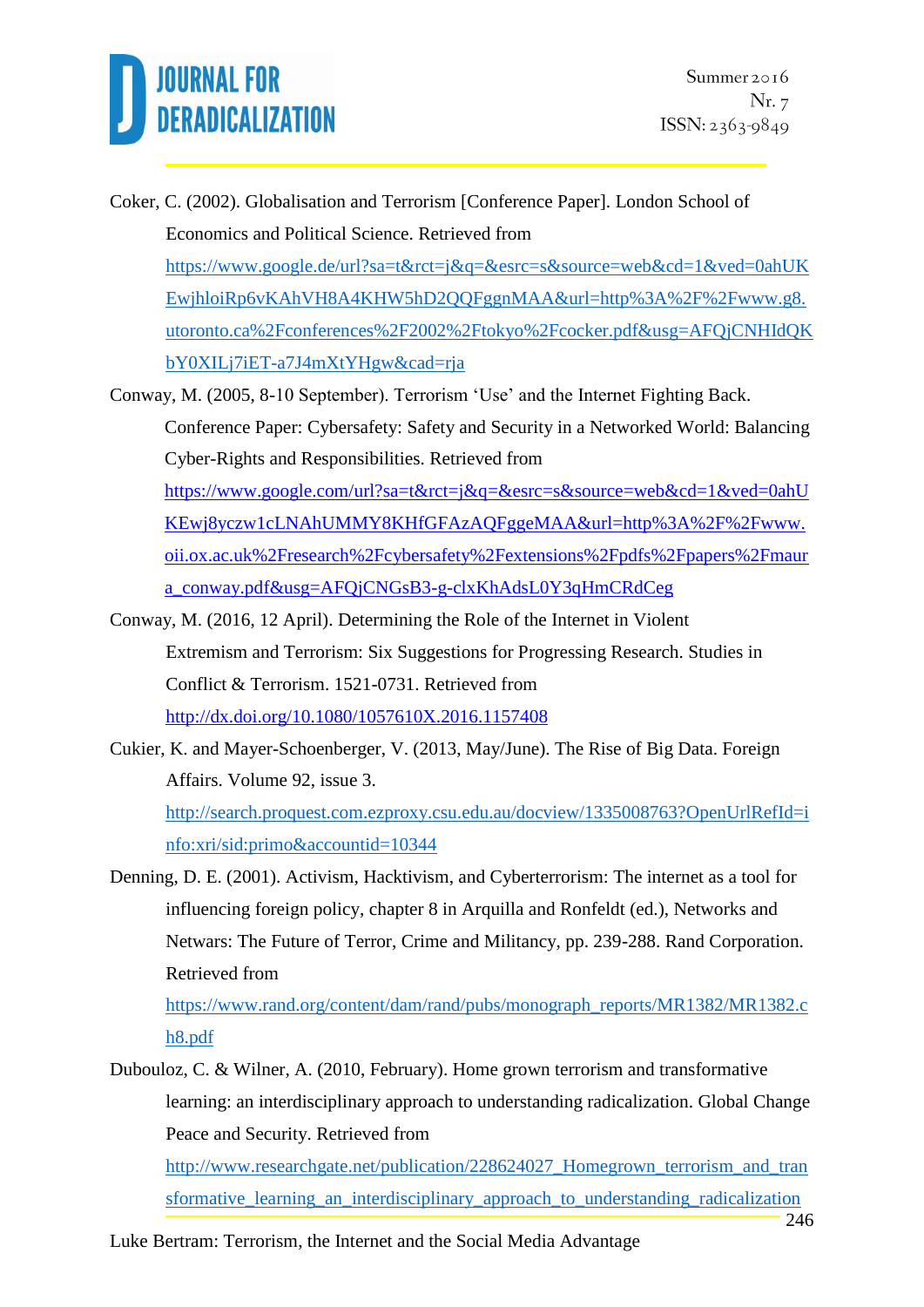- Coker, C. (2002). Globalisation and Terrorism [Conference Paper]. London School of Economics and Political Science. Retrieved from [https://www.google.de/url?sa=t&rct=j&q=&esrc=s&source=web&cd=1&ved=0ahUK](https://www.google.de/url?sa=t&rct=j&q=&esrc=s&source=web&cd=1&ved=0ahUKEwjhloiRp6vKAhVH8A4KHW5hD2QQFggnMAA&url=http%3A%2F%2Fwww.g8.utoronto.ca%2Fconferences%2F2002%2Ftokyo%2Fcocker.pdf&usg=AFQjCNHIdQKbY0XILj7iET-a7J4mXtYHgw&cad=rja) [EwjhloiRp6vKAhVH8A4KHW5hD2QQFggnMAA&url=http%3A%2F%2Fwww.g8.](https://www.google.de/url?sa=t&rct=j&q=&esrc=s&source=web&cd=1&ved=0ahUKEwjhloiRp6vKAhVH8A4KHW5hD2QQFggnMAA&url=http%3A%2F%2Fwww.g8.utoronto.ca%2Fconferences%2F2002%2Ftokyo%2Fcocker.pdf&usg=AFQjCNHIdQKbY0XILj7iET-a7J4mXtYHgw&cad=rja) [utoronto.ca%2Fconferences%2F2002%2Ftokyo%2Fcocker.pdf&usg=AFQjCNHIdQK](https://www.google.de/url?sa=t&rct=j&q=&esrc=s&source=web&cd=1&ved=0ahUKEwjhloiRp6vKAhVH8A4KHW5hD2QQFggnMAA&url=http%3A%2F%2Fwww.g8.utoronto.ca%2Fconferences%2F2002%2Ftokyo%2Fcocker.pdf&usg=AFQjCNHIdQKbY0XILj7iET-a7J4mXtYHgw&cad=rja) [bY0XILj7iET-a7J4mXtYHgw&cad=rja](https://www.google.de/url?sa=t&rct=j&q=&esrc=s&source=web&cd=1&ved=0ahUKEwjhloiRp6vKAhVH8A4KHW5hD2QQFggnMAA&url=http%3A%2F%2Fwww.g8.utoronto.ca%2Fconferences%2F2002%2Ftokyo%2Fcocker.pdf&usg=AFQjCNHIdQKbY0XILj7iET-a7J4mXtYHgw&cad=rja)
- Conway, M. (2005, 8-10 September). Terrorism 'Use' and the Internet Fighting Back. Conference Paper: Cybersafety: Safety and Security in a Networked World: Balancing Cyber-Rights and Responsibilities. Retrieved from [https://www.google.com/url?sa=t&rct=j&q=&esrc=s&source=web&cd=1&ved=0ahU](https://www.google.com/url?sa=t&rct=j&q=&esrc=s&source=web&cd=1&ved=0ahUKEwj8yczw1cLNAhUMMY8KHfGFAzAQFggeMAA&url=http%3A%2F%2Fwww.oii.ox.ac.uk%2Fresearch%2Fcybersafety%2Fextensions%2Fpdfs%2Fpapers%2Fmaura_conway.pdf&usg=AFQjCNGsB3-g-clxKhAdsL0Y3qHmCRdCeg) [KEwj8yczw1cLNAhUMMY8KHfGFAzAQFggeMAA&url=http%3A%2F%2Fwww.](https://www.google.com/url?sa=t&rct=j&q=&esrc=s&source=web&cd=1&ved=0ahUKEwj8yczw1cLNAhUMMY8KHfGFAzAQFggeMAA&url=http%3A%2F%2Fwww.oii.ox.ac.uk%2Fresearch%2Fcybersafety%2Fextensions%2Fpdfs%2Fpapers%2Fmaura_conway.pdf&usg=AFQjCNGsB3-g-clxKhAdsL0Y3qHmCRdCeg) [oii.ox.ac.uk%2Fresearch%2Fcybersafety%2Fextensions%2Fpdfs%2Fpapers%2Fmaur](https://www.google.com/url?sa=t&rct=j&q=&esrc=s&source=web&cd=1&ved=0ahUKEwj8yczw1cLNAhUMMY8KHfGFAzAQFggeMAA&url=http%3A%2F%2Fwww.oii.ox.ac.uk%2Fresearch%2Fcybersafety%2Fextensions%2Fpdfs%2Fpapers%2Fmaura_conway.pdf&usg=AFQjCNGsB3-g-clxKhAdsL0Y3qHmCRdCeg) [a\\_conway.pdf&usg=AFQjCNGsB3-g-clxKhAdsL0Y3qHmCRdCeg](https://www.google.com/url?sa=t&rct=j&q=&esrc=s&source=web&cd=1&ved=0ahUKEwj8yczw1cLNAhUMMY8KHfGFAzAQFggeMAA&url=http%3A%2F%2Fwww.oii.ox.ac.uk%2Fresearch%2Fcybersafety%2Fextensions%2Fpdfs%2Fpapers%2Fmaura_conway.pdf&usg=AFQjCNGsB3-g-clxKhAdsL0Y3qHmCRdCeg)
- Conway, M. (2016, 12 April). Determining the Role of the Internet in Violent Extremism and Terrorism: Six Suggestions for Progressing Research. Studies in Conflict & Terrorism. 1521-0731. Retrieved from <http://dx.doi.org/10.1080/1057610X.2016.1157408>
- Cukier, K. and Mayer-Schoenberger, V. (2013, May/June). The Rise of Big Data. Foreign Affairs. Volume 92, issue 3. [http://search.proquest.com.ezproxy.csu.edu.au/docview/1335008763?OpenUrlRefId=i](http://search.proquest.com.ezproxy.csu.edu.au/docview/1335008763?OpenUrlRefId=info:xri/sid:primo&accountid=10344) [nfo:xri/sid:primo&accountid=10344](http://search.proquest.com.ezproxy.csu.edu.au/docview/1335008763?OpenUrlRefId=info:xri/sid:primo&accountid=10344)
- Denning, D. E. (2001). Activism, Hacktivism, and Cyberterrorism: The internet as a tool for influencing foreign policy, chapter 8 in Arquilla and Ronfeldt (ed.), Networks and Netwars: The Future of Terror, Crime and Militancy, pp. 239-288. Rand Corporation. Retrieved from

[https://www.rand.org/content/dam/rand/pubs/monograph\\_reports/MR1382/MR1382.c](https://www.rand.org/content/dam/rand/pubs/monograph_reports/MR1382/MR1382.ch8.pdf) [h8.pdf](https://www.rand.org/content/dam/rand/pubs/monograph_reports/MR1382/MR1382.ch8.pdf)

Dubouloz, C. & Wilner, A. (2010, February). Home grown terrorism and transformative learning: an interdisciplinary approach to understanding radicalization. Global Change Peace and Security. Retrieved from

http://www.researchgate.net/publication/228624027 Homegrown terrorism and tran sformative learning an interdisciplinary approach to understanding radicalization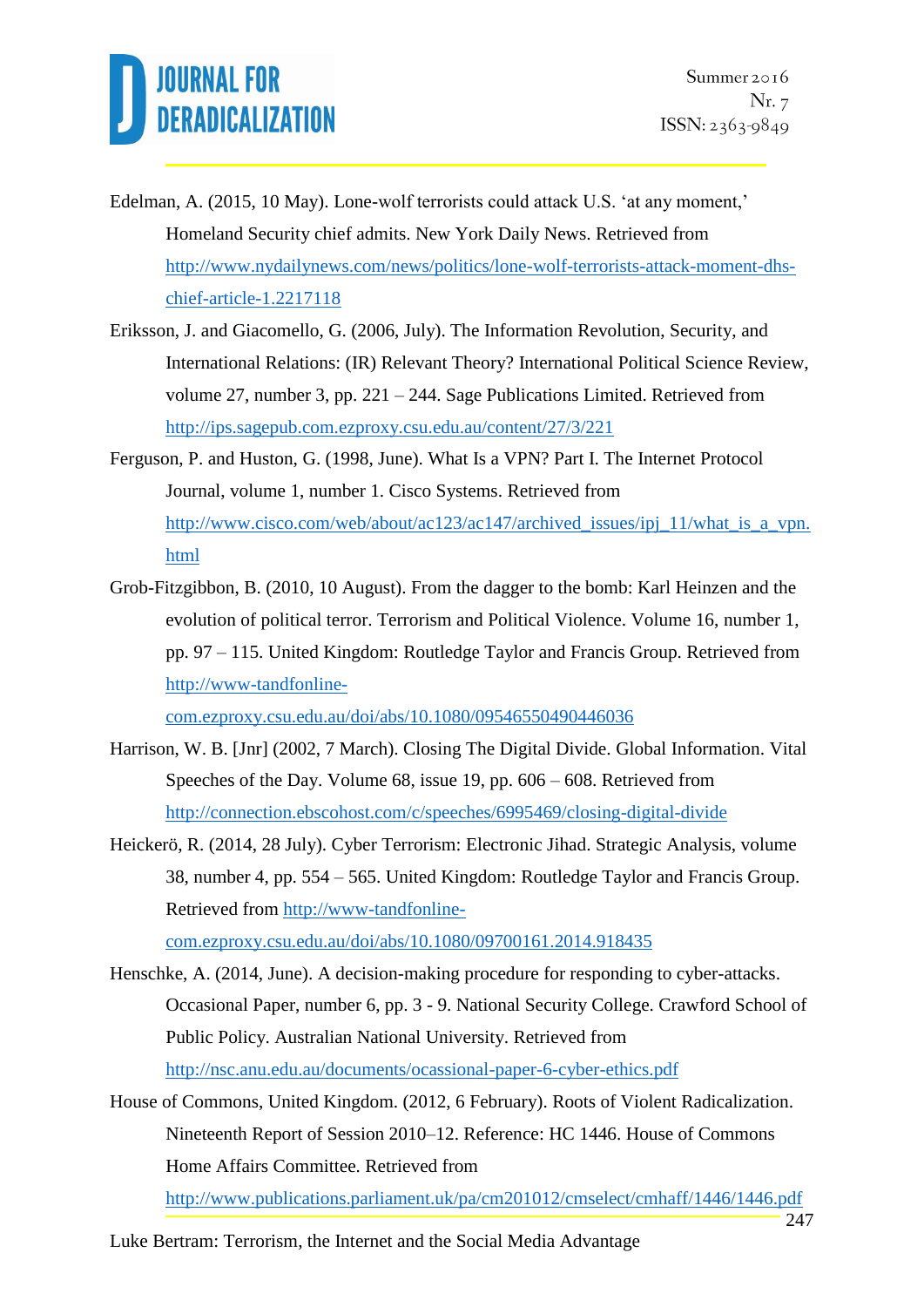- Edelman, A. (2015, 10 May). Lone-wolf terrorists could attack U.S. 'at any moment,' Homeland Security chief admits. New York Daily News. Retrieved from [http://www.nydailynews.com/news/politics/lone-wolf-terrorists-attack-moment-dhs](http://www.nydailynews.com/news/politics/lone-wolf-terrorists-attack-moment-dhs-chief-article-1.2217118)[chief-article-1.2217118](http://www.nydailynews.com/news/politics/lone-wolf-terrorists-attack-moment-dhs-chief-article-1.2217118)
- Eriksson, J. and Giacomello, G. (2006, July). The Information Revolution, Security, and International Relations: (IR) Relevant Theory? International Political Science Review, volume 27, number 3, pp. 221 – 244. Sage Publications Limited. Retrieved from <http://ips.sagepub.com.ezproxy.csu.edu.au/content/27/3/221>
- Ferguson, P. and Huston, G. (1998, June). What Is a VPN? Part I. The Internet Protocol Journal, volume 1, number 1. Cisco Systems. Retrieved from http://www.cisco.com/web/about/ac123/ac147/archived issues/ipj\_11/what\_is\_a\_vpn. [html](http://www.cisco.com/web/about/ac123/ac147/archived_issues/ipj_11/what_is_a_vpn.html)
- Grob-Fitzgibbon, B. (2010, 10 August). From the dagger to the bomb: Karl Heinzen and the evolution of political terror. Terrorism and Political Violence. Volume 16, number 1, pp. 97 – 115. United Kingdom: Routledge Taylor and Francis Group. Retrieved from [http://www-tandfonline-](http://www-tandfonline-com.ezproxy.csu.edu.au/doi/abs/10.1080/09546550490446036)

[com.ezproxy.csu.edu.au/doi/abs/10.1080/09546550490446036](http://www-tandfonline-com.ezproxy.csu.edu.au/doi/abs/10.1080/09546550490446036)

- Harrison, W. B. [Jnr] (2002, 7 March). Closing The Digital Divide. Global Information. Vital Speeches of the Day. Volume 68, issue 19, pp. 606 – 608. Retrieved from <http://connection.ebscohost.com/c/speeches/6995469/closing-digital-divide>
- Heickerö, R. (2014, 28 July). Cyber Terrorism: Electronic Jihad. Strategic Analysis, volume 38, number 4, pp. 554 – 565. United Kingdom: Routledge Taylor and Francis Group. Retrieved from [http://www-tandfonline](http://www-tandfonline-com.ezproxy.csu.edu.au/doi/abs/10.1080/09700161.2014.918435)[com.ezproxy.csu.edu.au/doi/abs/10.1080/09700161.2014.918435](http://www-tandfonline-com.ezproxy.csu.edu.au/doi/abs/10.1080/09700161.2014.918435)

Henschke, A. (2014, June). A decision-making procedure for responding to cyber-attacks. Occasional Paper, number 6, pp. 3 - 9. National Security College. Crawford School of Public Policy. Australian National University. Retrieved from <http://nsc.anu.edu.au/documents/ocassional-paper-6-cyber-ethics.pdf>

House of Commons, United Kingdom. (2012, 6 February). Roots of Violent Radicalization. Nineteenth Report of Session 2010–12. Reference: HC 1446. House of Commons Home Affairs Committee. Retrieved from

<http://www.publications.parliament.uk/pa/cm201012/cmselect/cmhaff/1446/1446.pdf>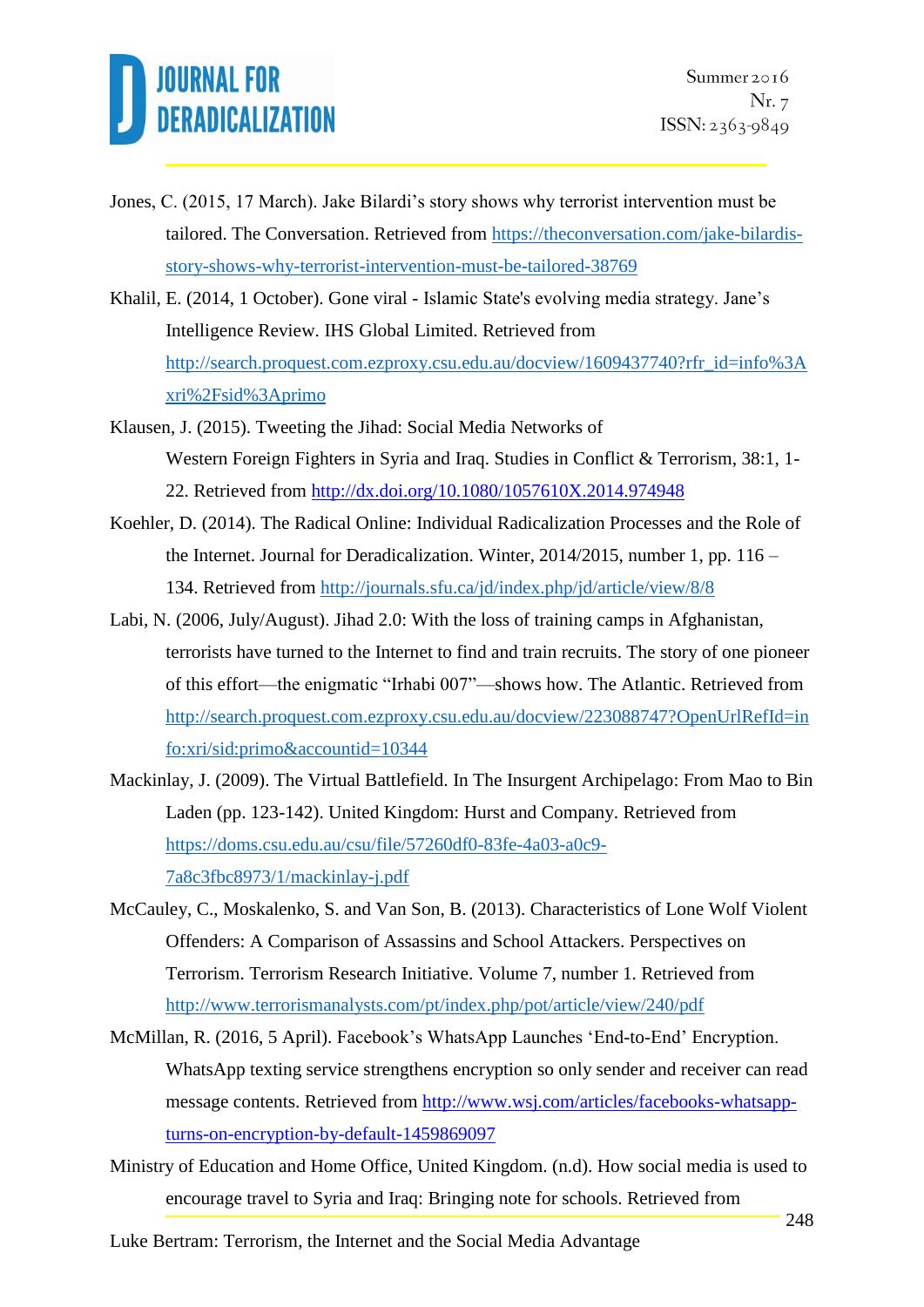

- Jones, C. (2015, 17 March). Jake Bilardi's story shows why terrorist intervention must be tailored. The Conversation. Retrieved from [https://theconversation.com/jake-bilardis](https://theconversation.com/jake-bilardis-story-shows-why-terrorist-intervention-must-be-tailored-38769)[story-shows-why-terrorist-intervention-must-be-tailored-38769](https://theconversation.com/jake-bilardis-story-shows-why-terrorist-intervention-must-be-tailored-38769)
- Khalil, E. (2014, 1 October). Gone viral Islamic State's evolving media strategy. Jane's Intelligence Review. IHS Global Limited. Retrieved from [http://search.proquest.com.ezproxy.csu.edu.au/docview/1609437740?rfr\\_id=info%3A](http://search.proquest.com.ezproxy.csu.edu.au/docview/1609437740?rfr_id=info%3Axri%2Fsid%3Aprimo) [xri%2Fsid%3Aprimo](http://search.proquest.com.ezproxy.csu.edu.au/docview/1609437740?rfr_id=info%3Axri%2Fsid%3Aprimo)
- Klausen, J. (2015). Tweeting the Jihad: Social Media Networks of Western Foreign Fighters in Syria and Iraq. Studies in Conflict & Terrorism, 38:1, 1- 22. Retrieved from<http://dx.doi.org/10.1080/1057610X.2014.974948>
- Koehler, D. (2014). The Radical Online: Individual Radicalization Processes and the Role of the Internet. Journal for Deradicalization. Winter, 2014/2015, number 1, pp. 116 – 134. Retrieved from<http://journals.sfu.ca/jd/index.php/jd/article/view/8/8>
- Labi, N. (2006, July/August). Jihad 2.0: With the loss of training camps in Afghanistan, terrorists have turned to the Internet to find and train recruits. The story of one pioneer of this effort—the enigmatic "Irhabi 007"—shows how. The Atlantic. Retrieved from [http://search.proquest.com.ezproxy.csu.edu.au/docview/223088747?OpenUrlRefId=in](http://search.proquest.com.ezproxy.csu.edu.au/docview/223088747?OpenUrlRefId=info:xri/sid:primo&accountid=10344) [fo:xri/sid:primo&accountid=10344](http://search.proquest.com.ezproxy.csu.edu.au/docview/223088747?OpenUrlRefId=info:xri/sid:primo&accountid=10344)
- Mackinlay, J. (2009). The Virtual Battlefield. In The Insurgent Archipelago: From Mao to Bin Laden (pp. 123-142). United Kingdom: Hurst and Company. Retrieved from [https://doms.csu.edu.au/csu/file/57260df0-83fe-4a03-a0c9-](https://doms.csu.edu.au/csu/file/57260df0-83fe-4a03-a0c9-7a8c3fbc8973/1/mackinlay-j.pdf) [7a8c3fbc8973/1/mackinlay-j.pdf](https://doms.csu.edu.au/csu/file/57260df0-83fe-4a03-a0c9-7a8c3fbc8973/1/mackinlay-j.pdf)
- McCauley, C., Moskalenko, S. and Van Son, B. (2013). Characteristics of Lone Wolf Violent Offenders: A Comparison of Assassins and School Attackers. Perspectives on Terrorism. Terrorism Research Initiative. Volume 7, number 1. Retrieved from <http://www.terrorismanalysts.com/pt/index.php/pot/article/view/240/pdf>
- McMillan, R. (2016, 5 April). Facebook's WhatsApp Launches 'End-to-End' Encryption. WhatsApp texting service strengthens encryption so only sender and receiver can read message contents. Retrieved from [http://www.wsj.com/articles/facebooks-whatsapp](http://www.wsj.com/articles/facebooks-whatsapp-turns-on-encryption-by-default-1459869097)[turns-on-encryption-by-default-1459869097](http://www.wsj.com/articles/facebooks-whatsapp-turns-on-encryption-by-default-1459869097)
- Ministry of Education and Home Office, United Kingdom. (n.d). How social media is used to encourage travel to Syria and Iraq: Bringing note for schools. Retrieved from

Luke Bertram: Terrorism, the Internet and the Social Media Advantage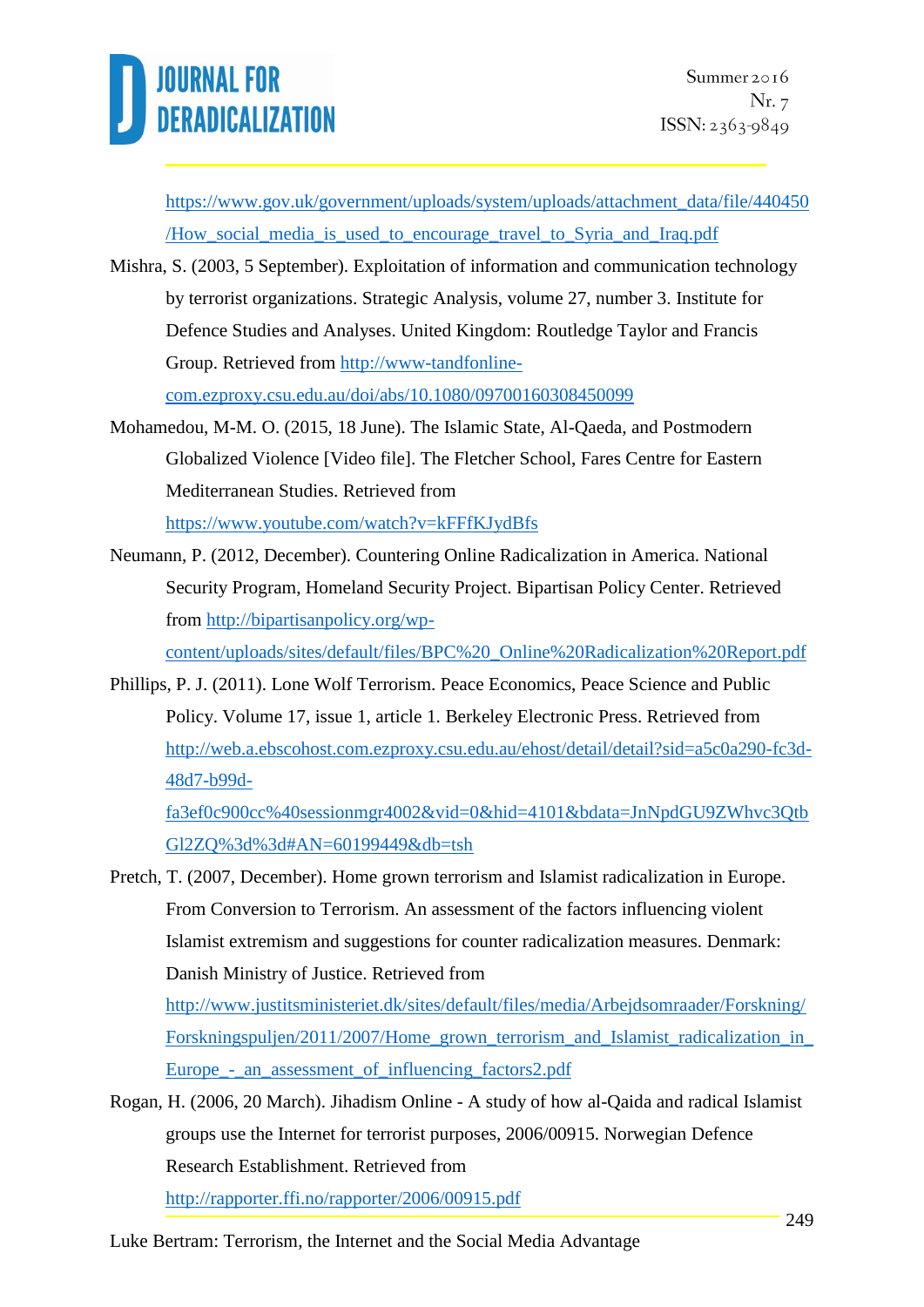

[https://www.gov.uk/government/uploads/system/uploads/attachment\\_data/file/440450](https://www.gov.uk/government/uploads/system/uploads/attachment_data/file/440450/How_social_media_is_used_to_encourage_travel_to_Syria_and_Iraq.pdf) [/How\\_social\\_media\\_is\\_used\\_to\\_encourage\\_travel\\_to\\_Syria\\_and\\_Iraq.pdf](https://www.gov.uk/government/uploads/system/uploads/attachment_data/file/440450/How_social_media_is_used_to_encourage_travel_to_Syria_and_Iraq.pdf)

- Mishra, S. (2003, 5 September). Exploitation of information and communication technology by terrorist organizations. Strategic Analysis, volume 27, number 3. Institute for Defence Studies and Analyses. United Kingdom: Routledge Taylor and Francis Group. Retrieved from [http://www-tandfonline](http://www-tandfonline-com.ezproxy.csu.edu.au/doi/abs/10.1080/09700160308450099)[com.ezproxy.csu.edu.au/doi/abs/10.1080/09700160308450099](http://www-tandfonline-com.ezproxy.csu.edu.au/doi/abs/10.1080/09700160308450099)
- Mohamedou, M-M. O. (2015, 18 June). The Islamic State, Al-Qaeda, and Postmodern Globalized Violence [Video file]. The Fletcher School, Fares Centre for Eastern Mediterranean Studies. Retrieved from <https://www.youtube.com/watch?v=kFFfKJydBfs>
- Neumann, P. (2012, December). Countering Online Radicalization in America. National Security Program, Homeland Security Project. Bipartisan Policy Center. Retrieved from [http://bipartisanpolicy.org/wp](http://bipartisanpolicy.org/wp-content/uploads/sites/default/files/BPC%20_Online%20Radicalization%20Report.pdf)[content/uploads/sites/default/files/BPC%20\\_Online%20Radicalization%20Report.pdf](http://bipartisanpolicy.org/wp-content/uploads/sites/default/files/BPC%20_Online%20Radicalization%20Report.pdf)
- Phillips, P. J. (2011). Lone Wolf Terrorism. Peace Economics, Peace Science and Public Policy. Volume 17, issue 1, article 1. Berkeley Electronic Press. Retrieved from [http://web.a.ebscohost.com.ezproxy.csu.edu.au/ehost/detail/detail?sid=a5c0a290-fc3d-](http://web.a.ebscohost.com.ezproxy.csu.edu.au/ehost/detail/detail?sid=a5c0a290-fc3d-48d7-b99d-fa3ef0c900cc@sessionmgr4002&vid=0&hid=4101&bdata=JnNpdGU9ZWhvc3QtbGl2ZQ%3D%3D#AN=60199449&db=tsh)[48d7-b99d-](http://web.a.ebscohost.com.ezproxy.csu.edu.au/ehost/detail/detail?sid=a5c0a290-fc3d-48d7-b99d-fa3ef0c900cc@sessionmgr4002&vid=0&hid=4101&bdata=JnNpdGU9ZWhvc3QtbGl2ZQ%3D%3D#AN=60199449&db=tsh)

[fa3ef0c900cc%40sessionmgr4002&vid=0&hid=4101&bdata=JnNpdGU9ZWhvc3Qtb](http://web.a.ebscohost.com.ezproxy.csu.edu.au/ehost/detail/detail?sid=a5c0a290-fc3d-48d7-b99d-fa3ef0c900cc@sessionmgr4002&vid=0&hid=4101&bdata=JnNpdGU9ZWhvc3QtbGl2ZQ%3D%3D#AN=60199449&db=tsh) [Gl2ZQ%3d%3d#AN=60199449&db=tsh](http://web.a.ebscohost.com.ezproxy.csu.edu.au/ehost/detail/detail?sid=a5c0a290-fc3d-48d7-b99d-fa3ef0c900cc@sessionmgr4002&vid=0&hid=4101&bdata=JnNpdGU9ZWhvc3QtbGl2ZQ%3D%3D#AN=60199449&db=tsh)

- Pretch, T. (2007, December). Home grown terrorism and Islamist radicalization in Europe. From Conversion to Terrorism. An assessment of the factors influencing violent Islamist extremism and suggestions for counter radicalization measures. Denmark: Danish Ministry of Justice. Retrieved from [http://www.justitsministeriet.dk/sites/default/files/media/Arbejdsomraader/Forskning/](http://www.justitsministeriet.dk/sites/default/files/media/Arbejdsomraader/Forskning/Forskningspuljen/2011/2007/Home_grown_terrorism_and_Islamist_radicalisation_in_Europe_-_an_assessment_of_influencing_factors2.pdf) Forskningspuljen/2011/2007/Home\_grown\_terrorism\_and\_Islamist\_radicalization\_in Europe<sub>--</sub> an assessment of influencing factors2.pdf
- Rogan, H. (2006, 20 March). Jihadism Online A study of how al-Qaida and radical Islamist groups use the Internet for terrorist purposes, 2006/00915. Norwegian Defence Research Establishment. Retrieved from

<http://rapporter.ffi.no/rapporter/2006/00915.pdf>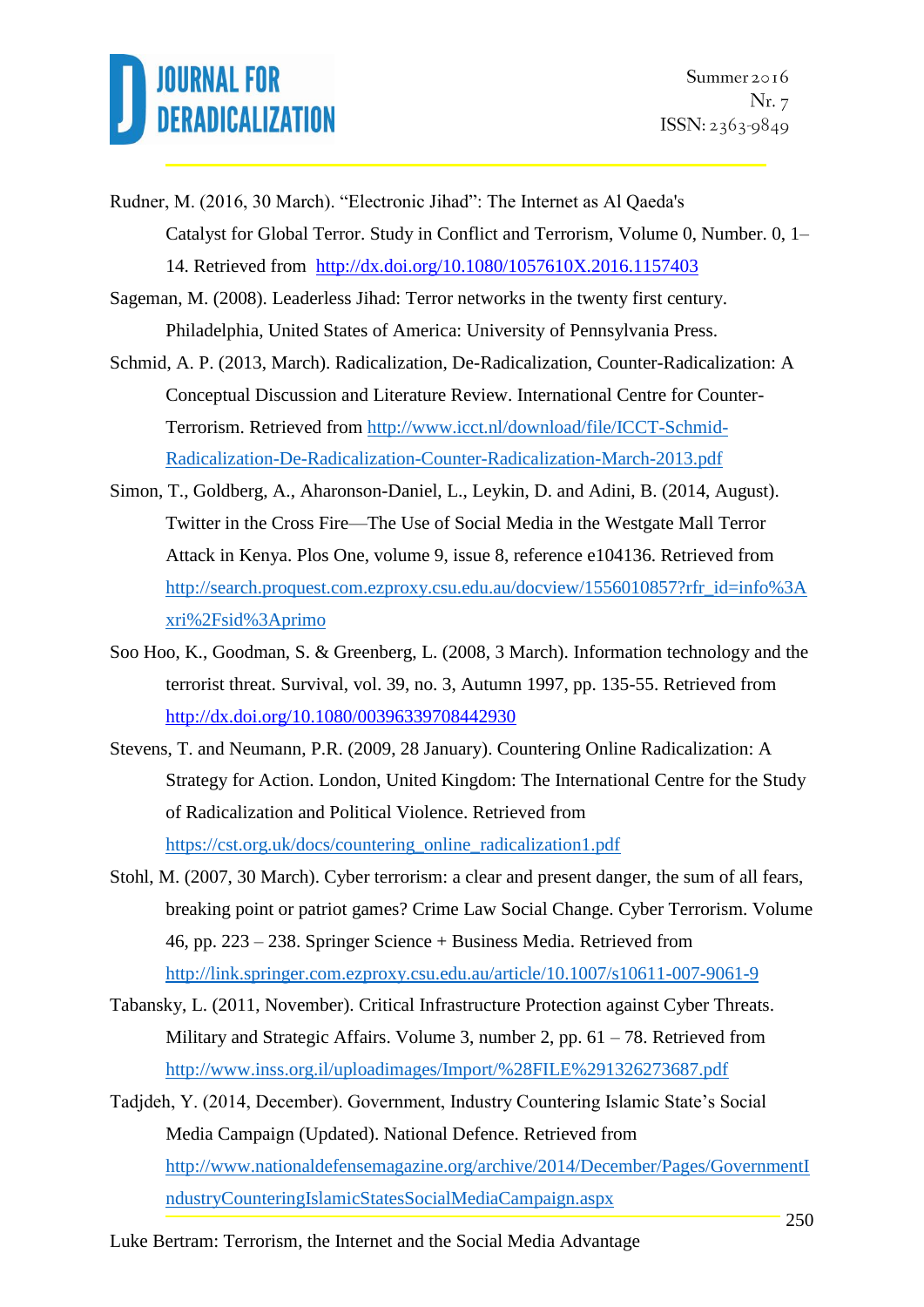- Rudner, M. (2016, 30 March). "Electronic Jihad": The Internet as Al Qaeda's Catalyst for Global Terror. Study in Conflict and Terrorism, Volume 0, Number. 0, 1– 14. Retrieved from <http://dx.doi.org/10.1080/1057610X.2016.1157403>
- Sageman, M. (2008). Leaderless Jihad: Terror networks in the twenty first century. Philadelphia, United States of America: University of Pennsylvania Press.
- Schmid, A. P. (2013, March). Radicalization, De-Radicalization, Counter-Radicalization: A Conceptual Discussion and Literature Review. International Centre for Counter-Terrorism. Retrieved from [http://www.icct.nl/download/file/ICCT-Schmid-](http://www.icct.nl/download/file/ICCT-Schmid-Radicalisation-De-Radicalisation-Counter-Radicalisation-March-2013.pdf)[Radicalization-De-Radicalization-Counter-Radicalization-March-2013.pdf](http://www.icct.nl/download/file/ICCT-Schmid-Radicalisation-De-Radicalisation-Counter-Radicalisation-March-2013.pdf)
- Simon, T., Goldberg, A., Aharonson-Daniel, L., Leykin, D. and Adini, B. (2014, August). Twitter in the Cross Fire—The Use of Social Media in the Westgate Mall Terror Attack in Kenya. Plos One, volume 9, issue 8, reference e104136. Retrieved from [http://search.proquest.com.ezproxy.csu.edu.au/docview/1556010857?rfr\\_id=info%3A](http://search.proquest.com.ezproxy.csu.edu.au/docview/1556010857?rfr_id=info%3Axri%2Fsid%3Aprimo) [xri%2Fsid%3Aprimo](http://search.proquest.com.ezproxy.csu.edu.au/docview/1556010857?rfr_id=info%3Axri%2Fsid%3Aprimo)
- Soo Hoo, K., Goodman, S. & Greenberg, L. (2008, 3 March). Information technology and the terrorist threat. Survival, vol. 39, no. 3, Autumn 1997, pp. 135-55. Retrieved from <http://dx.doi.org/10.1080/00396339708442930>
- Stevens, T. and Neumann, P.R. (2009, 28 January). Countering Online Radicalization: A Strategy for Action. London, United Kingdom: The International Centre for the Study of Radicalization and Political Violence. Retrieved from [https://cst.org.uk/docs/countering\\_online\\_radicalization1.pdf](https://cst.org.uk/docs/countering_online_radicalisation1.pdf)
- Stohl, M. (2007, 30 March). Cyber terrorism: a clear and present danger, the sum of all fears, breaking point or patriot games? Crime Law Social Change. Cyber Terrorism. Volume 46, pp. 223 – 238. Springer Science + Business Media. Retrieved from <http://link.springer.com.ezproxy.csu.edu.au/article/10.1007/s10611-007-9061-9>
- Tabansky, L. (2011, November). Critical Infrastructure Protection against Cyber Threats. Military and Strategic Affairs. Volume 3, number 2, pp.  $61 - 78$ . Retrieved from [http://www.inss.org.il/uploadimages/Import/%28FILE%291326273687.pdf](http://www.inss.org.il/uploadimages/Import/(FILE)1326273687.pdf)
- Tadjdeh, Y. (2014, December). Government, Industry Countering Islamic State's Social Media Campaign (Updated). National Defence. Retrieved from [http://www.nationaldefensemagazine.org/archive/2014/December/Pages/GovernmentI](http://www.nationaldefensemagazine.org/archive/2014/December/Pages/GovernmentIndustryCounteringIslamicStatesSocialMediaCampaign.aspx) [ndustryCounteringIslamicStatesSocialMediaCampaign.aspx](http://www.nationaldefensemagazine.org/archive/2014/December/Pages/GovernmentIndustryCounteringIslamicStatesSocialMediaCampaign.aspx)

Luke Bertram: Terrorism, the Internet and the Social Media Advantage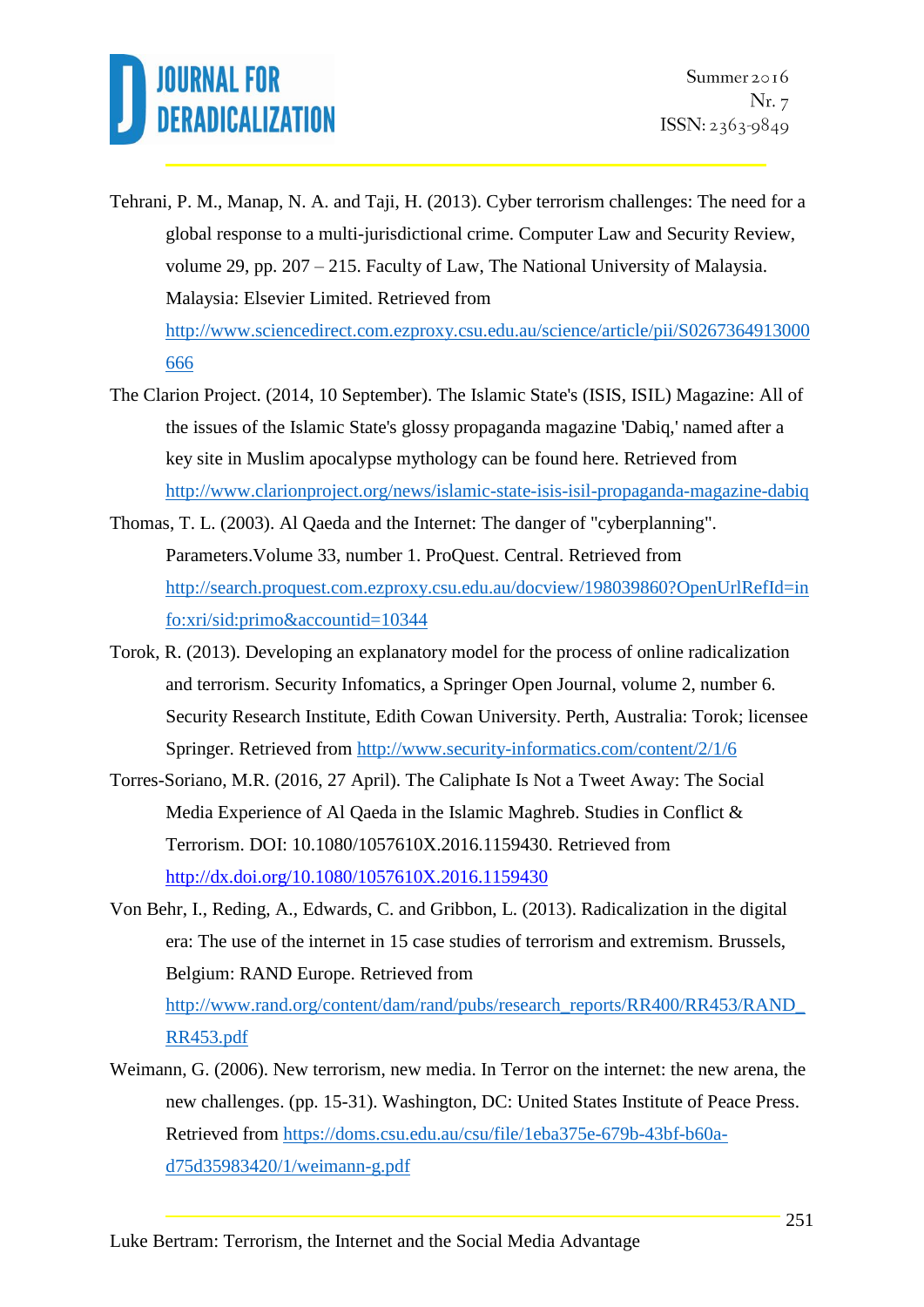Tehrani, P. M., Manap, N. A. and Taji, H. (2013). Cyber terrorism challenges: The need for a global response to a multi-jurisdictional crime. Computer Law and Security Review, volume 29, pp. 207 – 215. Faculty of Law, The National University of Malaysia. Malaysia: Elsevier Limited. Retrieved from [http://www.sciencedirect.com.ezproxy.csu.edu.au/science/article/pii/S0267364913000](http://www.sciencedirect.com.ezproxy.csu.edu.au/science/article/pii/S0267364913000666)

[666](http://www.sciencedirect.com.ezproxy.csu.edu.au/science/article/pii/S0267364913000666)

- The Clarion Project. (2014, 10 September). The Islamic State's (ISIS, ISIL) Magazine: All of the issues of the Islamic State's glossy propaganda magazine 'Dabiq,' named after a key site in Muslim apocalypse mythology can be found here. Retrieved from <http://www.clarionproject.org/news/islamic-state-isis-isil-propaganda-magazine-dabiq>
- Thomas, T. L. (2003). Al Qaeda and the Internet: The danger of "cyberplanning". Parameters.Volume 33, number 1. ProQuest. Central. Retrieved from [http://search.proquest.com.ezproxy.csu.edu.au/docview/198039860?OpenUrlRefId=in](http://search.proquest.com.ezproxy.csu.edu.au/docview/198039860?OpenUrlRefId=info:xri/sid:primo&accountid=10344) [fo:xri/sid:primo&accountid=10344](http://search.proquest.com.ezproxy.csu.edu.au/docview/198039860?OpenUrlRefId=info:xri/sid:primo&accountid=10344)
- Torok, R. (2013). Developing an explanatory model for the process of online radicalization and terrorism. Security Infomatics, a Springer Open Journal, volume 2, number 6. Security Research Institute, Edith Cowan University. Perth, Australia: Torok; licensee Springer. Retrieved from<http://www.security-informatics.com/content/2/1/6>
- Torres-Soriano, M.R. (2016, 27 April). The Caliphate Is Not a Tweet Away: The Social Media Experience of Al Qaeda in the Islamic Maghreb. Studies in Conflict & Terrorism. DOI: 10.1080/1057610X.2016.1159430. Retrieved from <http://dx.doi.org/10.1080/1057610X.2016.1159430>
- Von Behr, I., Reding, A., Edwards, C. and Gribbon, L. (2013). Radicalization in the digital era: The use of the internet in 15 case studies of terrorism and extremism. Brussels, Belgium: RAND Europe. Retrieved from [http://www.rand.org/content/dam/rand/pubs/research\\_reports/RR400/RR453/RAND\\_](http://www.rand.org/content/dam/rand/pubs/research_reports/RR400/RR453/RAND_RR453.pdf) [RR453.pdf](http://www.rand.org/content/dam/rand/pubs/research_reports/RR400/RR453/RAND_RR453.pdf)
- Weimann, G. (2006). New terrorism, new media. In Terror on the internet: the new arena, the new challenges. (pp. 15-31). Washington, DC: United States Institute of Peace Press. Retrieved from [https://doms.csu.edu.au/csu/file/1eba375e-679b-43bf-b60a](https://doms.csu.edu.au/csu/file/1eba375e-679b-43bf-b60a-d75d35983420/1/weimann-g.pdf)[d75d35983420/1/weimann-g.pdf](https://doms.csu.edu.au/csu/file/1eba375e-679b-43bf-b60a-d75d35983420/1/weimann-g.pdf)